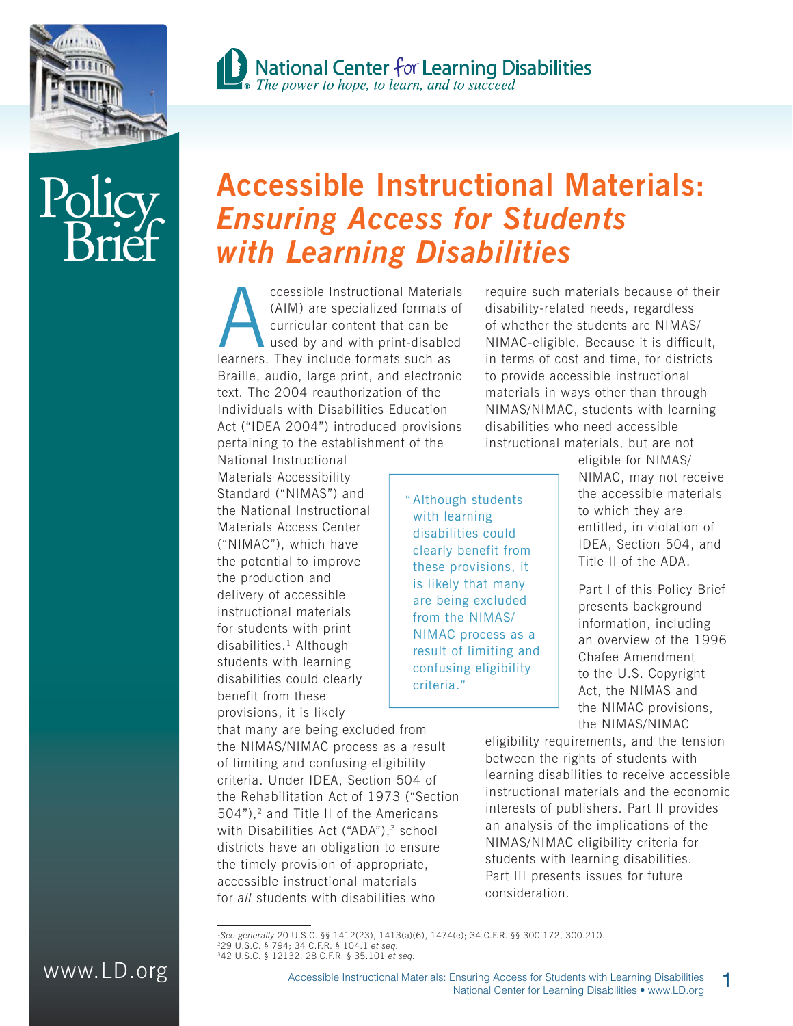



# Policy **Brief**

# **Accessible Instructional Materials:**  *Ensuring Access for Students with Learning Disabilities*

Consible Instructional Materials<br>
(AIM) are specialized formats of<br>
curricular content that can be<br>
used by and with print-disabled<br>
learners. They include formats such as (AIM) are specialized formats of curricular content that can be used by and with print-disabled Braille, audio, large print, and electronic text. The 2004 reauthorization of the Individuals with Disabilities Education Act ("IDEA 2004") introduced provisions pertaining to the establishment of the

National Instructional Materials Accessibility Standard ("NIMAS") and the National Instructional Materials Access Center ("NIMAC"), which have the potential to improve the production and delivery of accessible instructional materials for students with print disabilities.1 Although students with learning disabilities could clearly benefit from these provisions, it is likely

that many are being excluded from the NIMAS/NIMAC process as a result of limiting and confusing eligibility criteria. Under IDEA, Section 504 of the Rehabilitation Act of 1973 ("Section 504"),<sup>2</sup> and Title II of the Americans with Disabilities Act ("ADA"),<sup>3</sup> school districts have an obligation to ensure the timely provision of appropriate, accessible instructional materials for *all* students with disabilities who

" Although students with learning disabilities could clearly benefit from these provisions, it is likely that many are being excluded from the NIMAS/ NIMAC process as a result of limiting and confusing eligibility criteria."

require such materials because of their disability-related needs, regardless of whether the students are NIMAS/ NIMAC-eligible. Because it is difficult, in terms of cost and time, for districts to provide accessible instructional materials in ways other than through NIMAS/NIMAC, students with learning disabilities who need accessible instructional materials, but are not

> eligible for NIMAS/ NIMAC, may not receive the accessible materials to which they are entitled, in violation of IDEA, Section 504, and Title II of the ADA.

> Part I of this Policy Brief presents background information, including an overview of the 1996 Chafee Amendment to the U.S. Copyright Act, the NIMAS and the NIMAC provisions, the NIMAS/NIMAC

eligibility requirements, and the tension between the rights of students with learning disabilities to receive accessible instructional materials and the economic interests of publishers. Part II provides an analysis of the implications of the NIMAS/NIMAC eligibility criteria for students with learning disabilities. Part III presents issues for future consideration.



<sup>&</sup>lt;sup>1</sup>See generally 20 U.S.C. §§ 1412(23), 1413(a)(6), 1474(e); 34 C.F.R. §§ 300.172, 300.210.<br><sup>2</sup>29 U.S.C. § 794; 34 C.F.R. § 104.1 *et seq.*<br><sup>3</sup>42 U.S.C. § 12132; 28 C.F.R. § 35.101 *et seq.*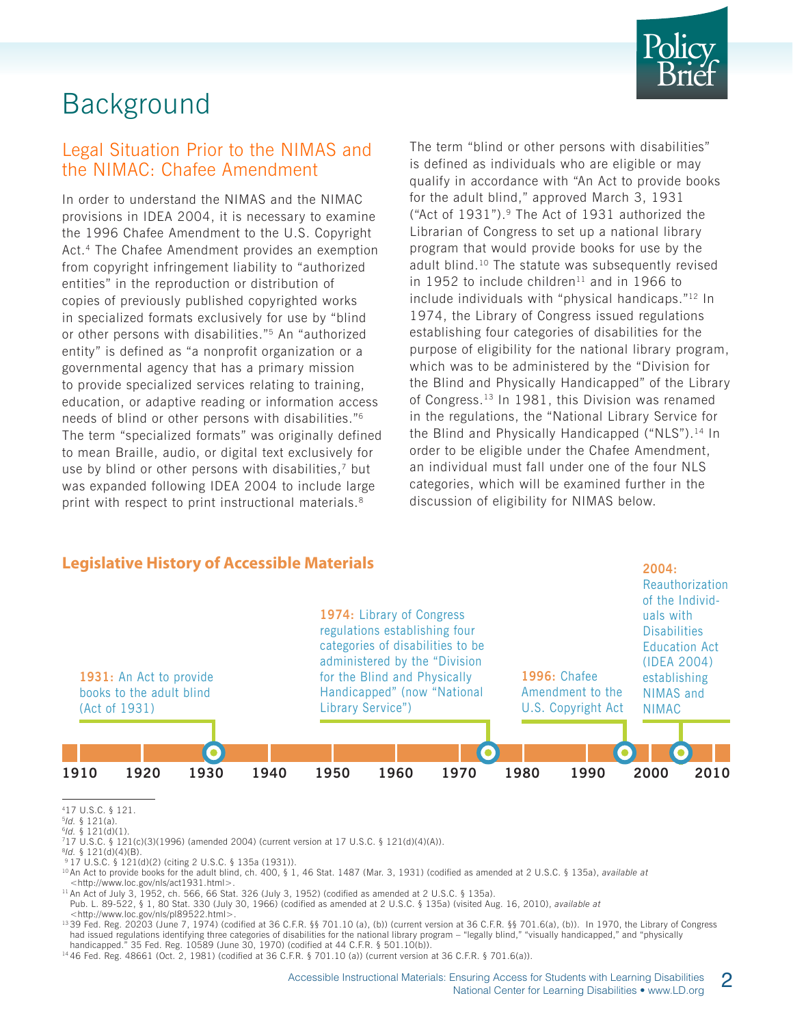

# Background

#### Legal Situation Prior to the NIMAS and the NIMAC: Chafee Amendment

In order to understand the NIMAS and the NIMAC provisions in IDEA 2004, it is necessary to examine the 1996 Chafee Amendment to the U.S. Copyright Act.4 The Chafee Amendment provides an exemption from copyright infringement liability to "authorized entities" in the reproduction or distribution of copies of previously published copyrighted works in specialized formats exclusively for use by "blind or other persons with disabilities."5 An "authorized entity" is defined as "a nonprofit organization or a governmental agency that has a primary mission to provide specialized services relating to training, education, or adaptive reading or information access needs of blind or other persons with disabilities."6 The term "specialized formats" was originally defined to mean Braille, audio, or digital text exclusively for use by blind or other persons with disabilities,<sup>7</sup> but was expanded following IDEA 2004 to include large print with respect to print instructional materials.<sup>8</sup>

The term "blind or other persons with disabilities" is defined as individuals who are eligible or may qualify in accordance with "An Act to provide books for the adult blind," approved March 3, 1931 ("Act of 1931").9 The Act of 1931 authorized the Librarian of Congress to set up a national library program that would provide books for use by the adult blind.10 The statute was subsequently revised in 1952 to include children $11$  and in 1966 to include individuals with "physical handicaps."12 In 1974, the Library of Congress issued regulations establishing four categories of disabilities for the purpose of eligibility for the national library program, which was to be administered by the "Division for the Blind and Physically Handicapped" of the Library of Congress.<sup>13</sup> In 1981, this Division was renamed in the regulations, the "National Library Service for the Blind and Physically Handicapped ("NLS").<sup>14</sup> In order to be eligible under the Chafee Amendment, an individual must fall under one of the four NLS categories, which will be examined further in the discussion of eligibility for NIMAS below.



417 U.S.C. § 121.

13 39 Fed. Reg. 20203 (June 7, 1974) (codified at 36 C.F.R. §§ 701.10 (a), (b)) (current version at 36 C.F.R. §§ 701.6(a), (b)). In 1970, the Library of Congress had issued regulations identifying three categories of disabilities for the national library program – "legally blind," "visually handicapped," and "physically handicapped." 35 Fed. Reg. 10589 (June 30, 1970) (codified at 44 C.F.R. § 501.10(b)).

14 46 Fed. Reg. 48661 (Oct. 2, 1981) (codified at 36 C.F.R. § 701.10 (a)) (current version at 36 C.F.R. § 701.6(a)).

<sup>5</sup>*Id.* § 121(a).

<sup>&</sup>lt;sup>7</sup>17 U.S.C. § 121(c)(3)(1996) (amended 2004) (current version at 17 U.S.C. § 121(d)(4)(A)).<br><sup>8</sup>ld. § 121(d)(4)(B).

<sup>&</sup>lt;sup>9</sup> 17 U.S.C. § 121(d)(2) (citing 2 U.S.C. § 135a (1931)).<br><sup>10</sup> An Act to provide books for the adult blind, ch. 400, § 1, 46 Stat. 1487 (Mar. 3, 1931) (codified as amended at 2 U.S.C. § 135a), available at <http://www.loc.gov/nls/act1931.html>.

 $11$  An Act of July 3, 1952, ch. 566, 66 Stat. 326 (July 3, 1952) (codified as amended at 2 U.S.C. § 135a).

Pub. L. 89-522, § 1, 80 Stat. 330 (July 30, 1966) (codified as amended at 2 U.S.C. § 135a) (visited Aug. 16, 2010), *available at*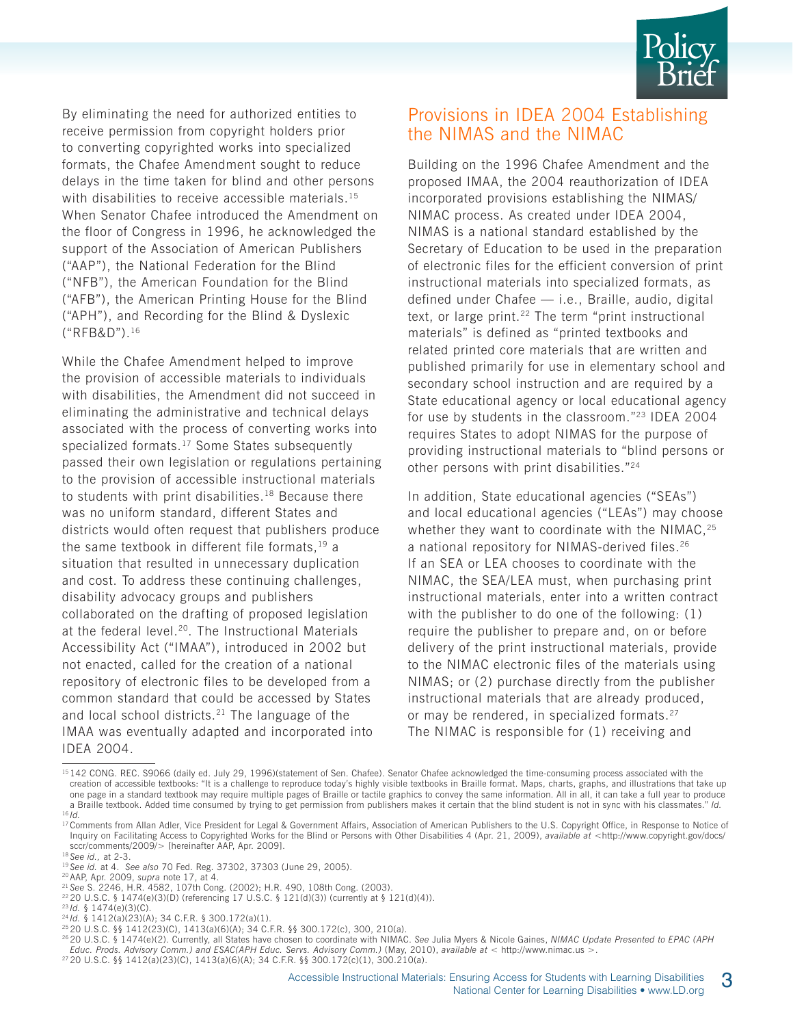

By eliminating the need for authorized entities to receive permission from copyright holders prior to converting copyrighted works into specialized formats, the Chafee Amendment sought to reduce delays in the time taken for blind and other persons with disabilities to receive accessible materials.<sup>15</sup> When Senator Chafee introduced the Amendment on the floor of Congress in 1996, he acknowledged the support of the Association of American Publishers ("AAP"), the National Federation for the Blind ("NFB"), the American Foundation for the Blind ("AFB"), the American Printing House for the Blind ("APH"), and Recording for the Blind & Dyslexic ("RFB&D").16

While the Chafee Amendment helped to improve the provision of accessible materials to individuals with disabilities, the Amendment did not succeed in eliminating the administrative and technical delays associated with the process of converting works into specialized formats.<sup>17</sup> Some States subsequently passed their own legislation or regulations pertaining to the provision of accessible instructional materials to students with print disabilities.<sup>18</sup> Because there was no uniform standard, different States and districts would often request that publishers produce the same textbook in different file formats,  $19$  a situation that resulted in unnecessary duplication and cost. To address these continuing challenges, disability advocacy groups and publishers collaborated on the drafting of proposed legislation at the federal level.<sup>20</sup>. The Instructional Materials Accessibility Act ("IMAA"), introduced in 2002 but not enacted, called for the creation of a national repository of electronic files to be developed from a common standard that could be accessed by States and local school districts.21 The language of the IMAA was eventually adapted and incorporated into IDEA 2004.

#### Provisions in IDEA 2004 Establishing the NIMAS and the NIMAC

Building on the 1996 Chafee Amendment and the proposed IMAA, the 2004 reauthorization of IDEA incorporated provisions establishing the NIMAS/ NIMAC process. As created under IDEA 2004, NIMAS is a national standard established by the Secretary of Education to be used in the preparation of electronic files for the efficient conversion of print instructional materials into specialized formats, as defined under Chafee — i.e., Braille, audio, digital text, or large print.<sup>22</sup> The term "print instructional materials" is defined as "printed textbooks and related printed core materials that are written and published primarily for use in elementary school and secondary school instruction and are required by a State educational agency or local educational agency for use by students in the classroom."23 IDEA 2004 requires States to adopt NIMAS for the purpose of providing instructional materials to "blind persons or other persons with print disabilities."24

In addition, State educational agencies ("SEAs") and local educational agencies ("LEAs") may choose whether they want to coordinate with the NIMAC, $25$ a national repository for NIMAS-derived files.<sup>26</sup> If an SEA or LEA chooses to coordinate with the NIMAC, the SEA/LEA must, when purchasing print instructional materials, enter into a written contract with the publisher to do one of the following: (1) require the publisher to prepare and, on or before delivery of the print instructional materials, provide to the NIMAC electronic files of the materials using NIMAS; or (2) purchase directly from the publisher instructional materials that are already produced, or may be rendered, in specialized formats.<sup>27</sup> The NIMAC is responsible for (1) receiving and

<sup>15 142</sup> CONG. REC. S9066 (daily ed. July 29, 1996)(statement of Sen. Chafee). Senator Chafee acknowledged the time-consuming process associated with the creation of accessible textbooks: "It is a challenge to reproduce today's highly visible textbooks in Braille format. Maps, charts, graphs, and illustrations that take up one page in a standard textbook may require multiple pages of Braille or tactile graphics to convey the same information. All in all, it can take a full year to produce a Braille textbook. Added time consumed by trying to get permission from publishers makes it certain that the blind student is not in sync with his classmates." *Id.*

<sup>16</sup> *Id.* 

<sup>&</sup>lt;sup>17</sup> Comments from Allan Adler, Vice President for Legal & Government Affairs, Association of American Publishers to the U.S. Copyright Office, in Response to Notice of Inquiry on Facilitating Access to Copyrighted Works for the Blind or Persons with Other Disabilities 4 (Apr. 21, 2009), *available at* <http://www.copyright.gov/docs/

<sup>&</sup>lt;sup>18</sup> See id., at 2-3.<br><sup>19</sup> See id. at 4. *See also* 70 Fed. Reg. 37302, 37303 (June 29, 2005).<br><sup>20</sup> AAP, Apr. 2009, *supra* note 17, at 4.

<sup>21</sup>*See* S. 2246, H.R. 4582, 107th Cong. (2002); H.R. 490, 108th Cong. (2003).

<sup>&</sup>lt;sup>22</sup> 20 U.S.C. § 1474(e)(3)(D) (referencing 17 U.S.C. § 121(d)(3)) (currently at § 121(d)(4)).<br><sup>23</sup>*Id.* § 1474(e)(3)(C).<br><sup>24</sup>*Id.* § 1412(a)(23)(A); 34 C.F.R. § 300.172(a)(1).<br><sup>25</sup> 20 U.S.C. §§ 1412(23)(C), 1413(a)(6)(A)

<sup>26 20</sup> U.S.C. § 1474(e)(2). Currently, all States have chosen to coordinate with NIMAC. *See* Julia Myers & Nicole Gaines, *NIMAC Update Presented to EPAC (APH Educ. Prods. Advisory Comm.) and ESAC(APH Educ. Servs. Advisory Comm.)* (May, 2010), *available at* < http://www.nimac.us >.

<sup>27 20</sup> U.S.C. §§ 1412(a)(23)(C), 1413(a)(6)(A); 34 C.F.R. §§ 300.172(c)(1), 300.210(a).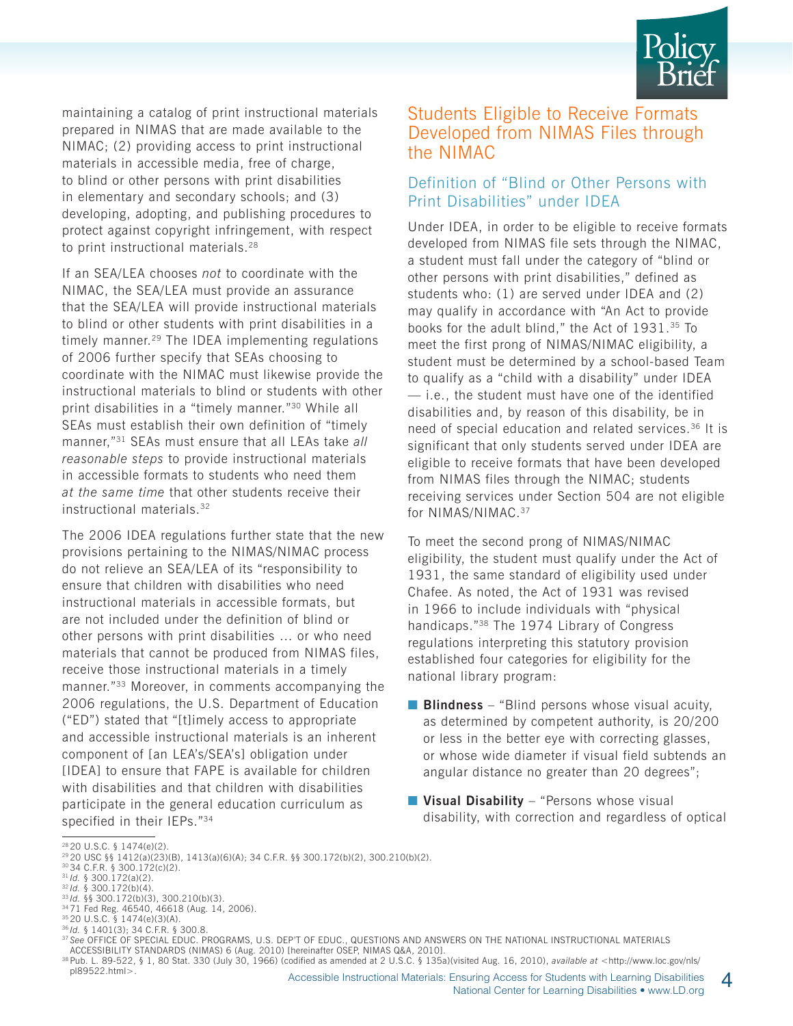

maintaining a catalog of print instructional materials prepared in NIMAS that are made available to the NIMAC; (2) providing access to print instructional materials in accessible media, free of charge, to blind or other persons with print disabilities in elementary and secondary schools; and (3) developing, adopting, and publishing procedures to protect against copyright infringement, with respect to print instructional materials.<sup>28</sup>

If an SEA/LEA chooses *not* to coordinate with the NIMAC, the SEA/LEA must provide an assurance that the SEA/LEA will provide instructional materials to blind or other students with print disabilities in a timely manner.29 The IDEA implementing regulations of 2006 further specify that SEAs choosing to coordinate with the NIMAC must likewise provide the instructional materials to blind or students with other print disabilities in a "timely manner."30 While all SEAs must establish their own definition of "timely manner,"31 SEAs must ensure that all LEAs take *all reasonable steps* to provide instructional materials in accessible formats to students who need them *at the same time* that other students receive their instructional materials.32

The 2006 IDEA regulations further state that the new provisions pertaining to the NIMAS/NIMAC process do not relieve an SEA/LEA of its "responsibility to ensure that children with disabilities who need instructional materials in accessible formats, but are not included under the definition of blind or other persons with print disabilities … or who need materials that cannot be produced from NIMAS files, receive those instructional materials in a timely manner."33 Moreover, in comments accompanying the 2006 regulations, the U.S. Department of Education ("ED") stated that "[t]imely access to appropriate and accessible instructional materials is an inherent component of [an LEA's/SEA's] obligation under [IDEA] to ensure that FAPE is available for children with disabilities and that children with disabilities participate in the general education curriculum as specified in their IEPs."<sup>34</sup>

#### Students Eligible to Receive Formats Developed from NIMAS Files through the NIMAC

#### Definition of "Blind or Other Persons with Print Disabilities" under IDEA

Under IDEA, in order to be eligible to receive formats developed from NIMAS file sets through the NIMAC, a student must fall under the category of "blind or other persons with print disabilities," defined as students who: (1) are served under IDEA and (2) may qualify in accordance with "An Act to provide books for the adult blind," the Act of 1931.35 To meet the first prong of NIMAS/NIMAC eligibility, a student must be determined by a school-based Team to qualify as a "child with a disability" under IDEA — i.e., the student must have one of the identified disabilities and, by reason of this disability, be in need of special education and related services.<sup>36</sup> It is significant that only students served under IDEA are eligible to receive formats that have been developed from NIMAS files through the NIMAC; students receiving services under Section 504 are not eligible for NIMAS/NIMAC.37

To meet the second prong of NIMAS/NIMAC eligibility, the student must qualify under the Act of 1931, the same standard of eligibility used under Chafee. As noted, the Act of 1931 was revised in 1966 to include individuals with "physical handicaps."38 The 1974 Library of Congress regulations interpreting this statutory provision established four categories for eligibility for the national library program:

- **Blindness** "Blind persons whose visual acuity, as determined by competent authority, is 20/200 or less in the better eye with correcting glasses, or whose wide diameter if visual field subtends an angular distance no greater than 20 degrees";
- **Visual Disability** "Persons whose visual disability, with correction and regardless of optical

pl89522.html>.

- <sup>32</sup> *Id.* § 300.172(b)(4). 33 *Id.* §§ 300.172(b)(3), 300.210(b)(3).
- 34 71 Fed Reg. 46540, 46618 (Aug. 14, 2006).

<sup>28 20</sup> U.S.C. § 1474(e)(2).

<sup>29 20</sup> USC §§ 1412(a)(23)(B), 1413(a)(6)(A); 34 C.F.R. §§ 300.172(b)(2), 300.210(b)(2).

<sup>30 34</sup> C.F.R. § 300.172(c)(2).

<sup>31</sup> *Id.* § 300.172(a)(2).

<sup>35 20</sup> U.S.C. § 1474(e)(3)(A).

<sup>36</sup> *Id.* § 1401(3); 34 C.F.R. § 300.8.

<sup>37</sup> *See* OFFICE OF SPECIAL EDUC. PROGRAMS, U.S. DEP'T OF EDUC., QUESTIONS AND ANSWERS ON THE NATIONAL INSTRUCTIONAL MATERIALS ACCESSIBILITY STANDARDS (NIMAS) 6 (Aug. 2010) [hereinafter OSEP, NIMAS Q&A, 2010].

<sup>38</sup> Pub. L. 89-522, § 1, 80 Stat. 330 (July 30, 1966) (codified as amended at 2 U.S.C. § 135a)(visited Aug. 16, 2010), *available at* <http://www.loc.gov/nls/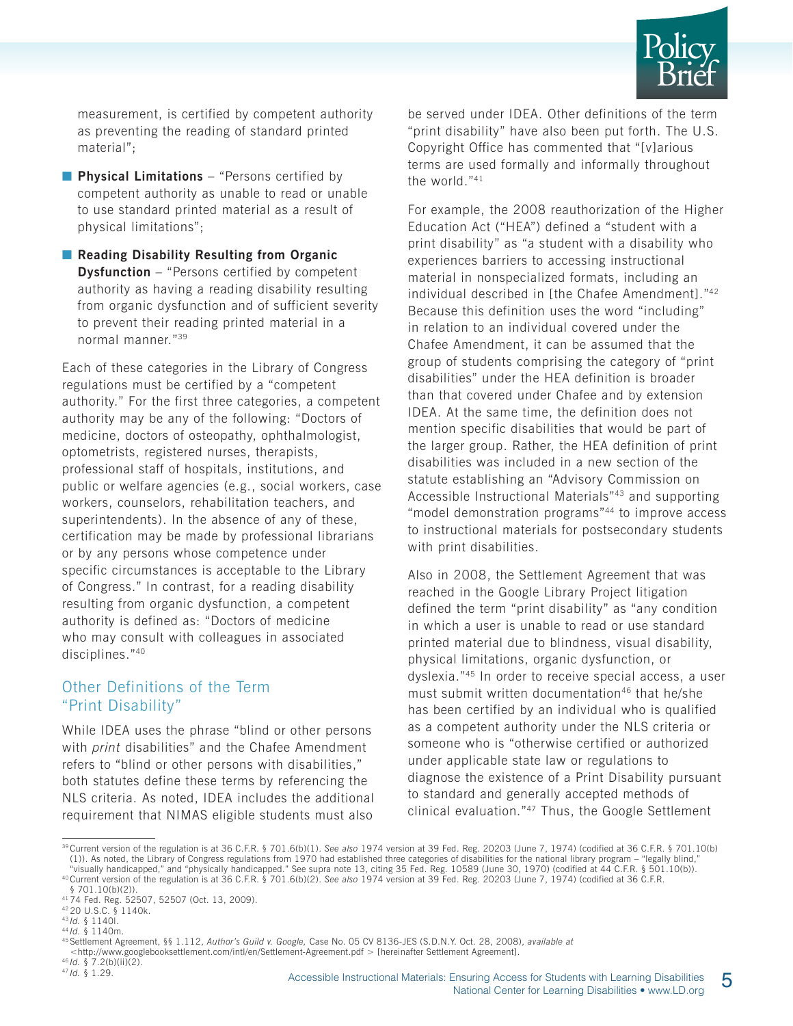

measurement, is certified by competent authority as preventing the reading of standard printed material";

- **Physical Limitations** "Persons certified by competent authority as unable to read or unable to use standard printed material as a result of physical limitations";
- **Reading Disability Resulting from Organic Dysfunction** – "Persons certified by competent authority as having a reading disability resulting from organic dysfunction and of sufficient severity to prevent their reading printed material in a normal manner."39

Each of these categories in the Library of Congress regulations must be certified by a "competent authority." For the first three categories, a competent authority may be any of the following: "Doctors of medicine, doctors of osteopathy, ophthalmologist, optometrists, registered nurses, therapists, professional staff of hospitals, institutions, and public or welfare agencies (e.g., social workers, case workers, counselors, rehabilitation teachers, and superintendents). In the absence of any of these, certification may be made by professional librarians or by any persons whose competence under specific circumstances is acceptable to the Library of Congress." In contrast, for a reading disability resulting from organic dysfunction, a competent authority is defined as: "Doctors of medicine who may consult with colleagues in associated disciplines."40

#### Other Definitions of the Term "Print Disability"

While IDEA uses the phrase "blind or other persons with *print* disabilities" and the Chafee Amendment refers to "blind or other persons with disabilities," both statutes define these terms by referencing the NLS criteria. As noted, IDEA includes the additional requirement that NIMAS eligible students must also

be served under IDEA. Other definitions of the term "print disability" have also been put forth. The U.S. Copyright Office has commented that "[v]arious terms are used formally and informally throughout the world."<sup>41</sup>

For example, the 2008 reauthorization of the Higher Education Act ("HEA") defined a "student with a print disability" as "a student with a disability who experiences barriers to accessing instructional material in nonspecialized formats, including an individual described in [the Chafee Amendment]."42 Because this definition uses the word "including" in relation to an individual covered under the Chafee Amendment, it can be assumed that the group of students comprising the category of "print disabilities" under the HEA definition is broader than that covered under Chafee and by extension IDEA. At the same time, the definition does not mention specific disabilities that would be part of the larger group. Rather, the HEA definition of print disabilities was included in a new section of the statute establishing an "Advisory Commission on Accessible Instructional Materials"43 and supporting "model demonstration programs"44 to improve access to instructional materials for postsecondary students with print disabilities.

Also in 2008, the Settlement Agreement that was reached in the Google Library Project litigation defined the term "print disability" as "any condition in which a user is unable to read or use standard printed material due to blindness, visual disability, physical limitations, organic dysfunction, or dyslexia."45 In order to receive special access, a user must submit written documentation<sup>46</sup> that he/she has been certified by an individual who is qualified as a competent authority under the NLS criteria or someone who is "otherwise certified or authorized under applicable state law or regulations to diagnose the existence of a Print Disability pursuant to standard and generally accepted methods of clinical evaluation."47 Thus, the Google Settlement

<sup>39</sup> Current version of the regulation is at 36 C.F.R. § 701.6(b)(1). *See also* 1974 version at 39 Fed. Reg. 20203 (June 7, 1974) (codified at 36 C.F.R. § 701.10(b) (1)). As noted, the Library of Congress regulations from 1970 had established three categories of disabilities for the national library program – "legally blind," "visually handicapped," and "physically handicapped," and "

<sup>40</sup> Current version of the regulation is at 36 C.F.R. § 701.6(b)(2). See also 1974 version at 39 Fed. Reg. 20203 (June 7, 1974) (codified at 36 C.F.R. § 701.10(b)(2)).

<sup>41 74</sup> Fed. Reg. 52507, 52507 (Oct. 13, 2009).

 $^{42}$  20 U.S.C.  $\frac{8}{9}$  1140k.<br> $^{43}$  /d. § 1140l.

<sup>43</sup> *Id.* § 1140l. 44 *Id.* § 1140m.

<sup>45</sup> Settlement Agreement, §§ 1.112, *Author's Guild v. Google,* Case No. 05 CV 8136-JES (S.D.N.Y. Oct. 28, 2008), *available at*

<sup>&</sup>lt;http://www.googlebooksettlement.com/intl/en/Settlement-Agreement.pdf > [hereinafter Settlement Agreement]. 46 *Id.* § 7.2(b)(ii)(2). 47 *Id.* § 1.29.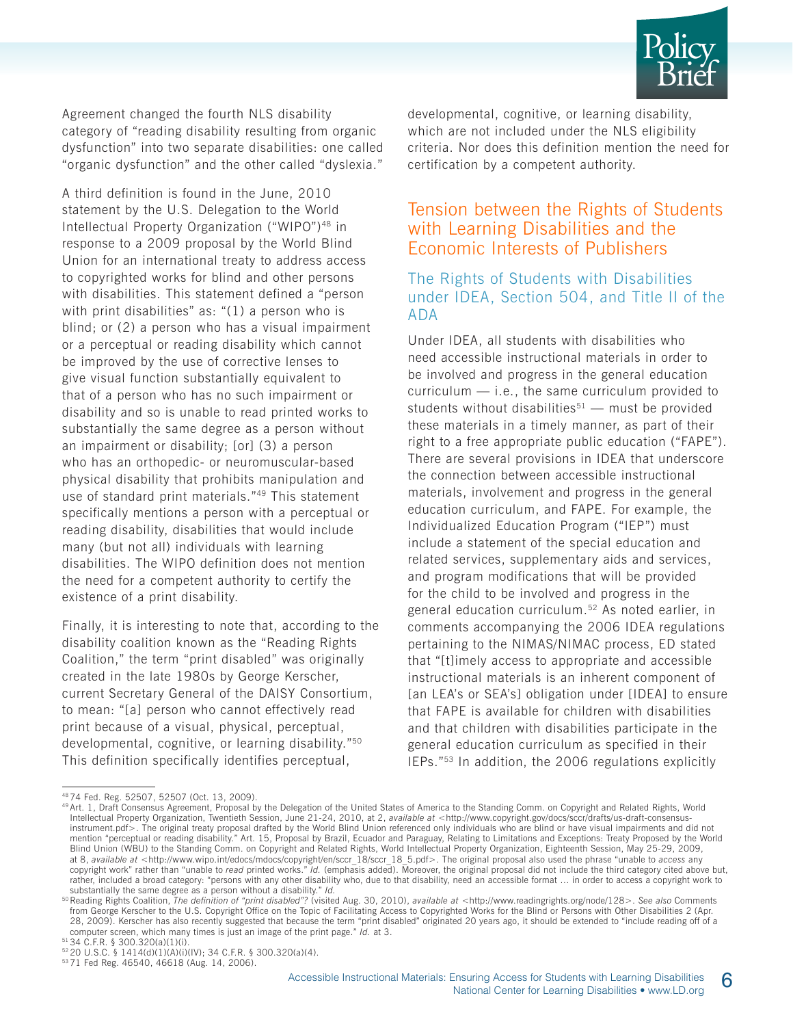

Agreement changed the fourth NLS disability category of "reading disability resulting from organic dysfunction" into two separate disabilities: one called "organic dysfunction" and the other called "dyslexia."

A third definition is found in the June, 2010 statement by the U.S. Delegation to the World Intellectual Property Organization ("WIPO")<sup>48</sup> in response to a 2009 proposal by the World Blind Union for an international treaty to address access to copyrighted works for blind and other persons with disabilities. This statement defined a "person with print disabilities" as: "(1) a person who is blind; or (2) a person who has a visual impairment or a perceptual or reading disability which cannot be improved by the use of corrective lenses to give visual function substantially equivalent to that of a person who has no such impairment or disability and so is unable to read printed works to substantially the same degree as a person without an impairment or disability; [or] (3) a person who has an orthopedic- or neuromuscular-based physical disability that prohibits manipulation and use of standard print materials."49 This statement specifically mentions a person with a perceptual or reading disability, disabilities that would include many (but not all) individuals with learning disabilities. The WIPO definition does not mention the need for a competent authority to certify the existence of a print disability.

Finally, it is interesting to note that, according to the disability coalition known as the "Reading Rights Coalition," the term "print disabled" was originally created in the late 1980s by George Kerscher, current Secretary General of the DAISY Consortium, to mean: "[a] person who cannot effectively read print because of a visual, physical, perceptual, developmental, cognitive, or learning disability."50 This definition specifically identifies perceptual,

developmental, cognitive, or learning disability, which are not included under the NLS eligibility criteria. Nor does this definition mention the need for certification by a competent authority.

#### Tension between the Rights of Students with Learning Disabilities and the Economic Interests of Publishers

#### The Rights of Students with Disabilities under IDEA, Section 504, and Title II of the ADA

Under IDEA, all students with disabilities who need accessible instructional materials in order to be involved and progress in the general education curriculum — i.e., the same curriculum provided to students without disabilities<sup>51</sup> — must be provided these materials in a timely manner, as part of their right to a free appropriate public education ("FAPE"). There are several provisions in IDEA that underscore the connection between accessible instructional materials, involvement and progress in the general education curriculum, and FAPE. For example, the Individualized Education Program ("IEP") must include a statement of the special education and related services, supplementary aids and services, and program modifications that will be provided for the child to be involved and progress in the general education curriculum.52 As noted earlier, in comments accompanying the 2006 IDEA regulations pertaining to the NIMAS/NIMAC process, ED stated that "[t]imely access to appropriate and accessible instructional materials is an inherent component of [an LEA's or SEA's] obligation under [IDEA] to ensure that FAPE is available for children with disabilities and that children with disabilities participate in the general education curriculum as specified in their IEPs."53 In addition, the 2006 regulations explicitly

<sup>48 74</sup> Fed. Reg. 52507, 52507 (Oct. 13, 2009).

<sup>49</sup> Art. 1, Draft Consensus Agreement, Proposal by the Delegation of the United States of America to the Standing Comm. on Copyright and Related Rights, World Intellectual Property Organization, Twentieth Session, June 21-24, 2010, at 2, *available at* <http://www.copyright.gov/docs/sccr/drafts/us-draft-consensusinstrument.pdf>. The original treaty proposal drafted by the World Blind Union referenced only individuals who are blind or have visual impairments and did not mention "perceptual or reading disability." Art. 15, Proposal by Brazil, Ecuador and Paraguay, Relating to Limitations and Exceptions: Treaty Proposed by the World Blind Union (WBU) to the Standing Comm. on Copyright and Related Rights, World Intellectual Property Organization, Eighteenth Session, May 25-29, 2009, at 8, *available at* <http://www.wipo.int/edocs/mdocs/copyright/en/sccr\_18/sccr\_18\_5.pdf>. The original proposal also used the phrase "unable to *access* any copyright work" rather than "unable to *read* printed works." *Id.* (emphasis added). Moreover, the original proposal did not include the third category cited above but, rather, included a broad category: "persons with any other disability who, due to that disability, need an accessible format … in order to access a copyright work to substantially the same degree as a person without a disability." *Id.*<br><sup>50</sup> Reading Rights Coalition, *The definition of "print disabled"?* (visited Aug. 30, 2010), available at <http://www.readingrights.org/node/128>. See

from George Kerscher to the U.S. Copyright Office on the Topic of Facilitating Access to Copyrighted Works for the Blind or Persons with Other Disabilities 2 (Apr. 28, 2009). Kerscher has also recently suggested that because the term "print disabled" originated 20 years ago, it should be extended to "include reading off of a computer screen, which many times is just an image of the print page." *Id.* at 3.

<sup>51 34</sup> C.F.R. § 300.320(a)(1)(i).

<sup>52 20</sup> U.S.C. § 1414(d)(1)(A)(i)(IV); 34 C.F.R. § 300.320(a)(4).

<sup>53 71</sup> Fed Reg. 46540, 46618 (Aug. 14, 2006).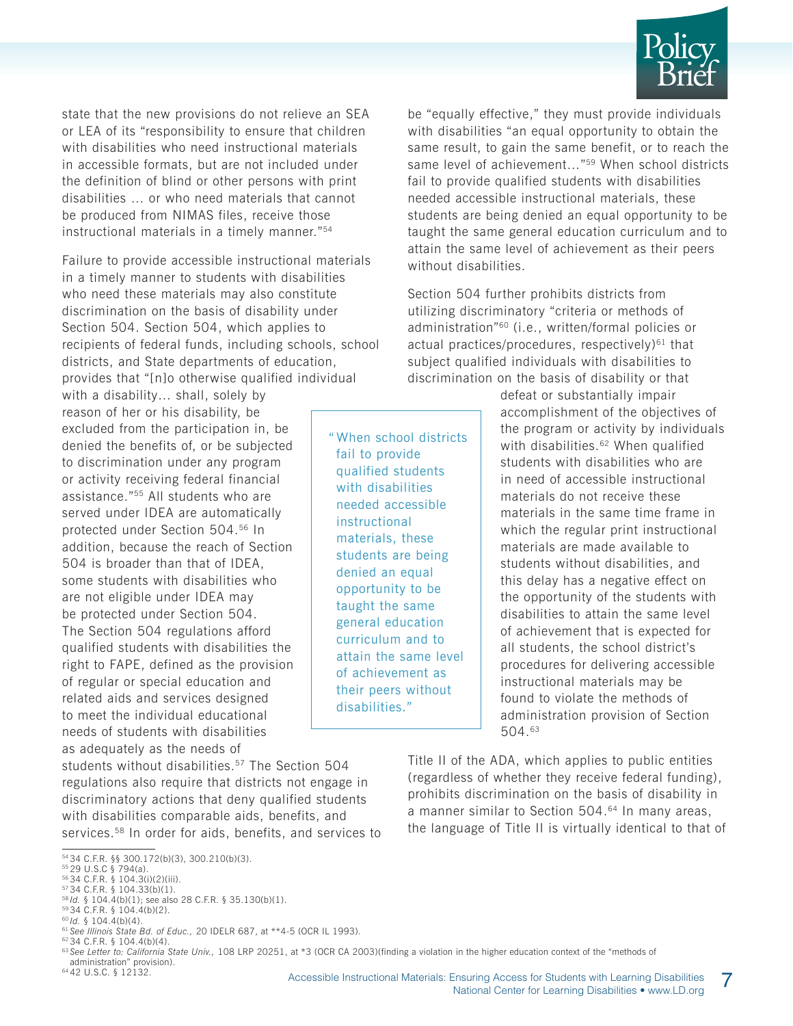

state that the new provisions do not relieve an SEA or LEA of its "responsibility to ensure that children with disabilities who need instructional materials in accessible formats, but are not included under the definition of blind or other persons with print disabilities … or who need materials that cannot be produced from NIMAS files, receive those instructional materials in a timely manner."54

Failure to provide accessible instructional materials in a timely manner to students with disabilities who need these materials may also constitute discrimination on the basis of disability under Section 504. Section 504, which applies to recipients of federal funds, including schools, school districts, and State departments of education, provides that "[n]o otherwise qualified individual

with a disability… shall, solely by reason of her or his disability, be excluded from the participation in, be denied the benefits of, or be subjected to discrimination under any program or activity receiving federal financial assistance."55 All students who are served under IDEA are automatically protected under Section 504.56 In addition, because the reach of Section 504 is broader than that of IDEA, some students with disabilities who are not eligible under IDEA may be protected under Section 504. The Section 504 regulations afford qualified students with disabilities the right to FAPE, defined as the provision of regular or special education and related aids and services designed to meet the individual educational needs of students with disabilities as adequately as the needs of

students without disabilities.<sup>57</sup> The Section 504 regulations also require that districts not engage in discriminatory actions that deny qualified students with disabilities comparable aids, benefits, and services.<sup>58</sup> In order for aids, benefits, and services to

64 42 U.S.C. § 12132.

be "equally effective," they must provide individuals with disabilities "an equal opportunity to obtain the same result, to gain the same benefit, or to reach the same level of achievement..."<sup>59</sup> When school districts fail to provide qualified students with disabilities needed accessible instructional materials, these students are being denied an equal opportunity to be taught the same general education curriculum and to attain the same level of achievement as their peers without disabilities.

Section 504 further prohibits districts from utilizing discriminatory "criteria or methods of administration"60 (i.e., written/formal policies or actual practices/procedures, respectively) $61$  that subject qualified individuals with disabilities to discrimination on the basis of disability or that

" When school districts fail to provide qualified students with disabilities needed accessible instructional materials, these students are being denied an equal opportunity to be taught the same general education curriculum and to attain the same level of achievement as their peers without disabilities."

defeat or substantially impair accomplishment of the objectives of the program or activity by individuals with disabilities.<sup>62</sup> When qualified students with disabilities who are in need of accessible instructional materials do not receive these materials in the same time frame in which the regular print instructional materials are made available to students without disabilities, and this delay has a negative effect on the opportunity of the students with disabilities to attain the same level of achievement that is expected for all students, the school district's procedures for delivering accessible instructional materials may be found to violate the methods of administration provision of Section 504.63

Title II of the ADA, which applies to public entities (regardless of whether they receive federal funding), prohibits discrimination on the basis of disability in a manner similar to Section 504.<sup>64</sup> In many areas, the language of Title II is virtually identical to that of

<sup>54 34</sup> C.F.R. §§ 300.172(b)(3), 300.210(b)(3).

<sup>55 29</sup> U.S.C § 794(a).

<sup>56 34</sup> C.F.R. § 104.3(i)(2)(iii). 57 34 C.F.R. § 104.33(b)(1).

<sup>58</sup> *Id.* § 104.4(b)(1); see also 28 C.F.R. § 35.130(b)(1).

<sup>59 34</sup> C.F.R. § 104.4(b)(2).

<sup>60</sup> *Id.* § 104.4(b)(4).

<sup>61</sup> *See Illinois State Bd. of Educ.,* 20 IDELR 687, at \*\*4-5 (OCR IL 1993). 62 34 C.F.R. § 104.4(b)(4).

<sup>&</sup>lt;sup>63</sup> See Letter to: California State Univ., 108 LRP 20251, at \*3 (OCR CA 2003)(finding a violation in the higher education context of the "methods of administration" provision).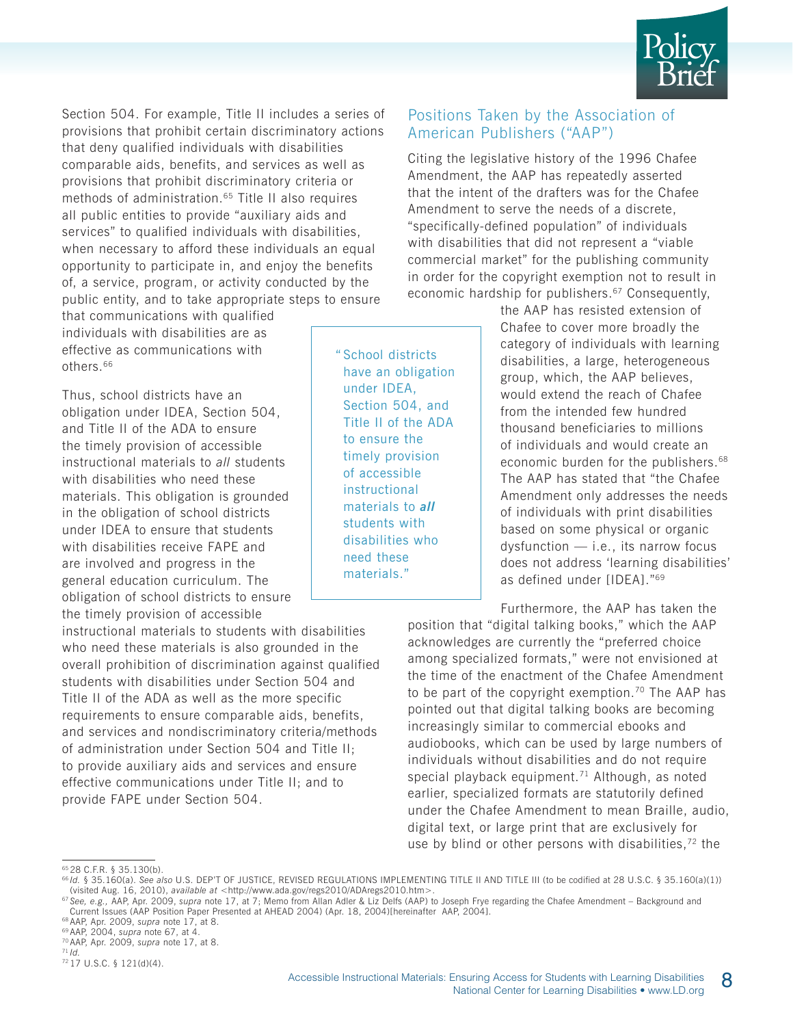

Section 504. For example, Title II includes a series of provisions that prohibit certain discriminatory actions that deny qualified individuals with disabilities comparable aids, benefits, and services as well as provisions that prohibit discriminatory criteria or methods of administration.<sup>65</sup> Title II also requires all public entities to provide "auxiliary aids and services" to qualified individuals with disabilities, when necessary to afford these individuals an equal opportunity to participate in, and enjoy the benefits of, a service, program, or activity conducted by the public entity, and to take appropriate steps to ensure

that communications with qualified individuals with disabilities are as effective as communications with others.66

Thus, school districts have an obligation under IDEA, Section 504, and Title II of the ADA to ensure the timely provision of accessible instructional materials to *all* students with disabilities who need these materials. This obligation is grounded in the obligation of school districts under IDEA to ensure that students with disabilities receive FAPE and are involved and progress in the general education curriculum. The obligation of school districts to ensure the timely provision of accessible

instructional materials to students with disabilities who need these materials is also grounded in the overall prohibition of discrimination against qualified students with disabilities under Section 504 and Title II of the ADA as well as the more specific requirements to ensure comparable aids, benefits, and services and nondiscriminatory criteria/methods of administration under Section 504 and Title II; to provide auxiliary aids and services and ensure effective communications under Title II; and to provide FAPE under Section 504.

" School districts have an obligation under IDEA, Section 504, and Title II of the ADA to ensure the timely provision of accessible instructional materials to *all* students with disabilities who need these materials."

#### Positions Taken by the Association of American Publishers ("AAP")

Citing the legislative history of the 1996 Chafee Amendment, the AAP has repeatedly asserted that the intent of the drafters was for the Chafee Amendment to serve the needs of a discrete, "specifically-defined population" of individuals with disabilities that did not represent a "viable commercial market" for the publishing community in order for the copyright exemption not to result in economic hardship for publishers.<sup>67</sup> Consequently,

> the AAP has resisted extension of Chafee to cover more broadly the category of individuals with learning disabilities, a large, heterogeneous group, which, the AAP believes, would extend the reach of Chafee from the intended few hundred thousand beneficiaries to millions of individuals and would create an economic burden for the publishers.<sup>68</sup> The AAP has stated that "the Chafee Amendment only addresses the needs of individuals with print disabilities based on some physical or organic dysfunction — i.e., its narrow focus does not address 'learning disabilities' as defined under [IDEA]."69

Furthermore, the AAP has taken the

position that "digital talking books," which the AAP acknowledges are currently the "preferred choice among specialized formats," were not envisioned at the time of the enactment of the Chafee Amendment to be part of the copyright exemption.<sup>70</sup> The AAP has pointed out that digital talking books are becoming increasingly similar to commercial ebooks and audiobooks, which can be used by large numbers of individuals without disabilities and do not require special playback equipment.<sup>71</sup> Although, as noted earlier, specialized formats are statutorily defined under the Chafee Amendment to mean Braille, audio, digital text, or large print that are exclusively for use by blind or other persons with disabilities,<sup>72</sup> the

<sup>67</sup> See, e.g., AAP, Apr. 2009, s*upra* note 17, at 7; Memo from Allan Adler & Liz Delfs (AAP) to Joseph Frye regarding the Chafee Amendment – Background and<br>Current Issues (AAP Position Paper Presented at AHEAD 2004) (Apr

<sup>65 28</sup> C.F.R. § 35.130(b).

<sup>66</sup> *Id.* § 35.160(a). *See also* U.S. DEP'T OF JUSTICE, REVISED REGULATIONS IMPLEMENTING TITLE II AND TITLE III (to be codified at 28 U.S.C. § 35.160(a)(1)) (visited Aug. 16, 2010), *available at* <http://www.ada.gov/regs2010/ADAregs2010.htm>.

<sup>68</sup> AAP, Apr. 2009, *supra* note 17, at 8. 69 AAP, 2004, *supra* note 67, at 4.

<sup>70</sup> AAP, Apr. 2009, *supra* note 17, at 8. 71 *Id.* 72 17 U.S.C. § 121(d)(4).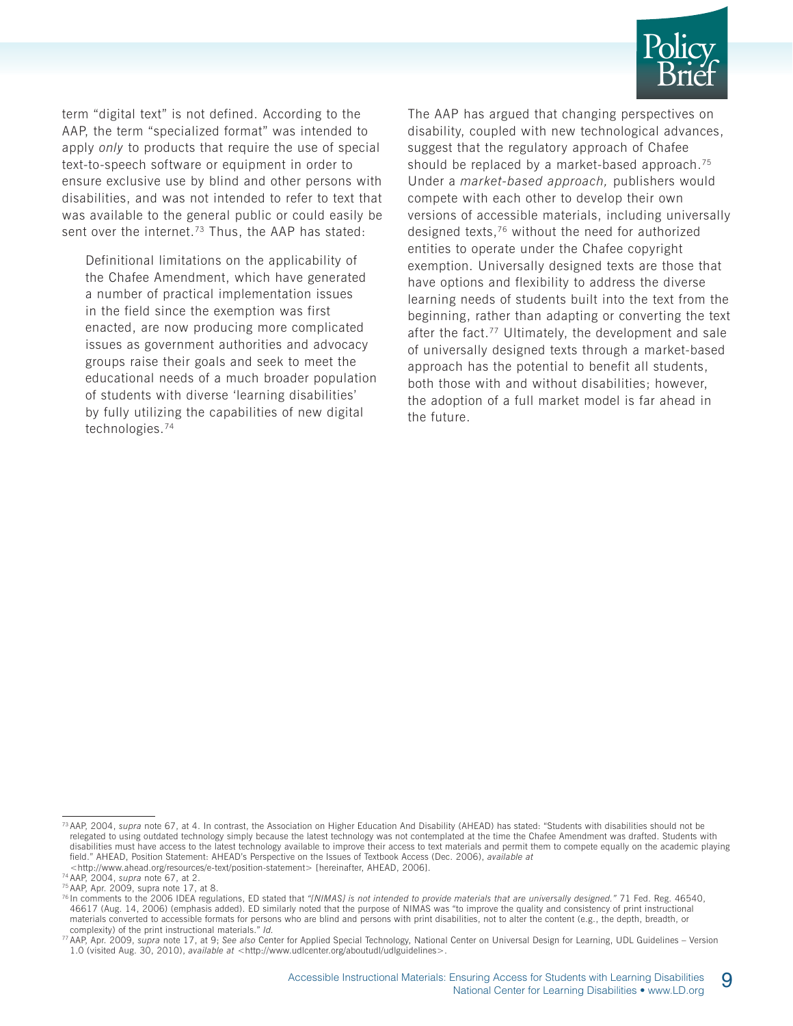

term "digital text" is not defined. According to the AAP, the term "specialized format" was intended to apply *only* to products that require the use of special text-to-speech software or equipment in order to ensure exclusive use by blind and other persons with disabilities, and was not intended to refer to text that was available to the general public or could easily be sent over the internet.<sup>73</sup> Thus, the AAP has stated:

Definitional limitations on the applicability of the Chafee Amendment, which have generated a number of practical implementation issues in the field since the exemption was first enacted, are now producing more complicated issues as government authorities and advocacy groups raise their goals and seek to meet the educational needs of a much broader population of students with diverse 'learning disabilities' by fully utilizing the capabilities of new digital technologies.74

The AAP has argued that changing perspectives on disability, coupled with new technological advances, suggest that the regulatory approach of Chafee should be replaced by a market-based approach.<sup>75</sup> Under a *market-based approach,* publishers would compete with each other to develop their own versions of accessible materials, including universally designed texts,76 without the need for authorized entities to operate under the Chafee copyright exemption. Universally designed texts are those that have options and flexibility to address the diverse learning needs of students built into the text from the beginning, rather than adapting or converting the text after the fact.<sup>77</sup> Ultimately, the development and sale of universally designed texts through a market-based approach has the potential to benefit all students, both those with and without disabilities; however, the adoption of a full market model is far ahead in the future.

<sup>73</sup> AAP, 2004, *supra* note 67, at 4. In contrast, the Association on Higher Education And Disability (AHEAD) has stated: "Students with disabilities should not be relegated to using outdated technology simply because the latest technology was not contemplated at the time the Chafee Amendment was drafted. Students with disabilities must have access to the latest technology available to improve their access to text materials and permit them to compete equally on the academic playing field." AHEAD, Position Statement: AHEAD's Perspective on the Issues of Textbook Access (Dec. 2006), *available at* <http://www.ahead.org/resources/e-text/position-statement> [hereinafter, AHEAD, 2006].<br><sup>74</sup> AAP, 2004, supra note 67, at 2.

<sup>&</sup>lt;sup>75</sup> AAP, Apr. 2009, supra note 17, at 8.

<sup>76</sup> In comments to the 2006 IDEA regulations, ED stated that *"[NIMAS] is not intended to provide materials that are universally designed."* 71 Fed. Reg. 46540, 46617 (Aug. 14, 2006) (emphasis added). ED similarly noted that the purpose of NIMAS was "to improve the quality and consistency of print instructional materials converted to accessible formats for persons who are blind and persons with print disabilities, not to alter the content (e.g., the depth, breadth, or

complexity) of the print instructional materials." Id.<br><sup>77</sup> AAP, Apr. 2009, supra note 17, at 9; See also Center for Applied Special Technology, National Center on Universal Design for Learning, UDL Guidelines – Version 1.0 (visited Aug. 30, 2010), *available at* <http://www.udlcenter.org/aboutudl/udlguidelines>.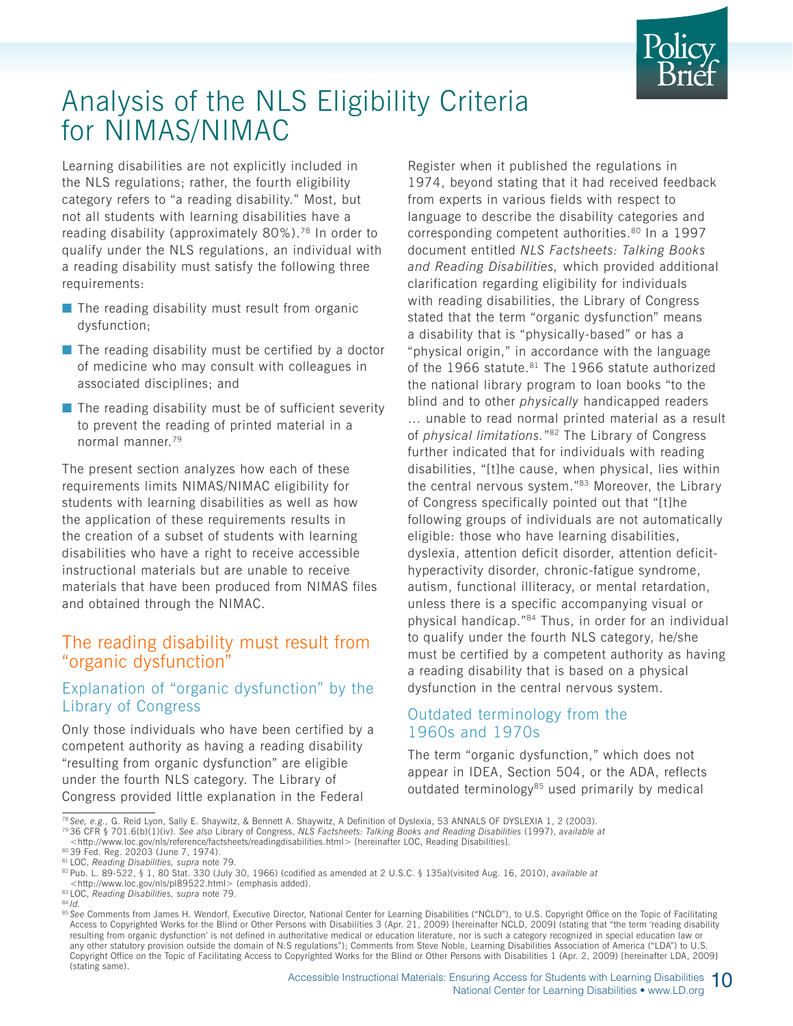

## Analysis of the NLS Eligibility Criteria for NIMAS/NIMAC

Learning disabilities are not explicitly included in the NLS regulations; rather, the fourth eligibility category refers to "a reading disability." Most, but not all students with learning disabilities have a reading disability (approximately 80%).78 In order to qualify under the NLS regulations, an individual with a reading disability must satisfy the following three requirements:

- $\blacksquare$  The reading disability must result from organic dysfunction;
- $\blacksquare$  The reading disability must be certified by a doctor of medicine who may consult with colleagues in associated disciplines; and
- $\blacksquare$  The reading disability must be of sufficient severity to prevent the reading of printed material in a normal manner.79

The present section analyzes how each of these requirements limits NIMAS/NIMAC eligibility for students with learning disabilities as well as how the application of these requirements results in the creation of a subset of students with learning disabilities who have a right to receive accessible instructional materials but are unable to receive materials that have been produced from NIMAS files and obtained through the NIMAC.

#### The reading disability must result from "organic dysfunction"

#### Explanation of "organic dysfunction" by the Library of Congress

Only those individuals who have been certified by a competent authority as having a reading disability "resulting from organic dysfunction" are eligible under the fourth NLS category. The Library of Congress provided little explanation in the Federal

Register when it published the regulations in 1974, beyond stating that it had received feedback from experts in various fields with respect to language to describe the disability categories and corresponding competent authorities.80 In a 1997 document entitled *NLS Factsheets: Talking Books and Reading Disabilities,* which provided additional clarification regarding eligibility for individuals with reading disabilities, the Library of Congress stated that the term "organic dysfunction" means a disability that is "physically-based" or has a "physical origin," in accordance with the language of the 1966 statute.<sup>81</sup> The 1966 statute authorized the national library program to loan books "to the blind and to other *physically* handicapped readers … unable to read normal printed material as a result of *physical limitations.*"82 The Library of Congress further indicated that for individuals with reading disabilities, "[t]he cause, when physical, lies within the central nervous system."83 Moreover, the Library of Congress specifically pointed out that "[t]he following groups of individuals are not automatically eligible: those who have learning disabilities, dyslexia, attention deficit disorder, attention deficithyperactivity disorder, chronic-fatigue syndrome, autism, functional illiteracy, or mental retardation, unless there is a specific accompanying visual or physical handicap."84 Thus, in order for an individual to qualify under the fourth NLS category, he/she must be certified by a competent authority as having a reading disability that is based on a physical dysfunction in the central nervous system.

#### Outdated terminology from the 1960s and 1970s

The term "organic dysfunction," which does not appear in IDEA, Section 504, or the ADA, reflects outdated terminology $85$  used primarily by medical

<sup>78</sup> *See, e.g.,* G. Reid Lyon, Sally E. Shaywitz, & Bennett A. Shaywitz, A Definition of Dyslexia, 53 ANNALS OF DYSLEXIA 1, 2 (2003).

<sup>79 36</sup> CFR § 701.6(b)(1)(iv). *See also* Library of Congress, *NLS Factsheets: Talking Books and Reading Disabilities* (1997), *available at* <http://www.loc.gov/nls/reference/factsheets/readingdisabilities.html> [hereinafter LOC, Reading Disabilities].

<sup>80 39</sup> Fed. Reg. 20203 (June 7, 1974).

<sup>81</sup> LOC, *Reading Disabilities, supra* note 79.

<sup>82</sup> Pub. L. 89-522, § 1, 80 Stat. 330 (July 30, 1966) (codified as amended at 2 U.S.C. § 135a)(visited Aug. 16, 2010), *available at*

<sup>&</sup>lt;http://www.loc.gov/nls/pl89522.html> (emphasis added). 83 LOC, *Reading Disabilities, supra* note 79.

<sup>84</sup> *Id.*

<sup>85</sup> See Comments from James H. Wendorf, Executive Director, National Center for Learning Disabilities ("NCLD"), to U.S. Copyright Office on the Topic of Facilitating Access to Copyrighted Works for the Blind or Other Persons with Disabilities 3 (Apr. 21, 2009) [hereinafter NCLD, 2009] (stating that "the term 'reading disability resulting from organic dysfunction' is not defined in authoritative medical or education literature, nor is such a category recognized in special education law or any other statutory provision outside the domain of N:S regulations"); Comments from Steve Noble, Learning Disabilities Association of America ("LDA") to U.S. Copyright Office on the Topic of Facilitating Access to Copyrighted Works for the Blind or Other Persons with Disabilities 1 (Apr. 2, 2009) [hereinafter LDA, 2009] (stating same).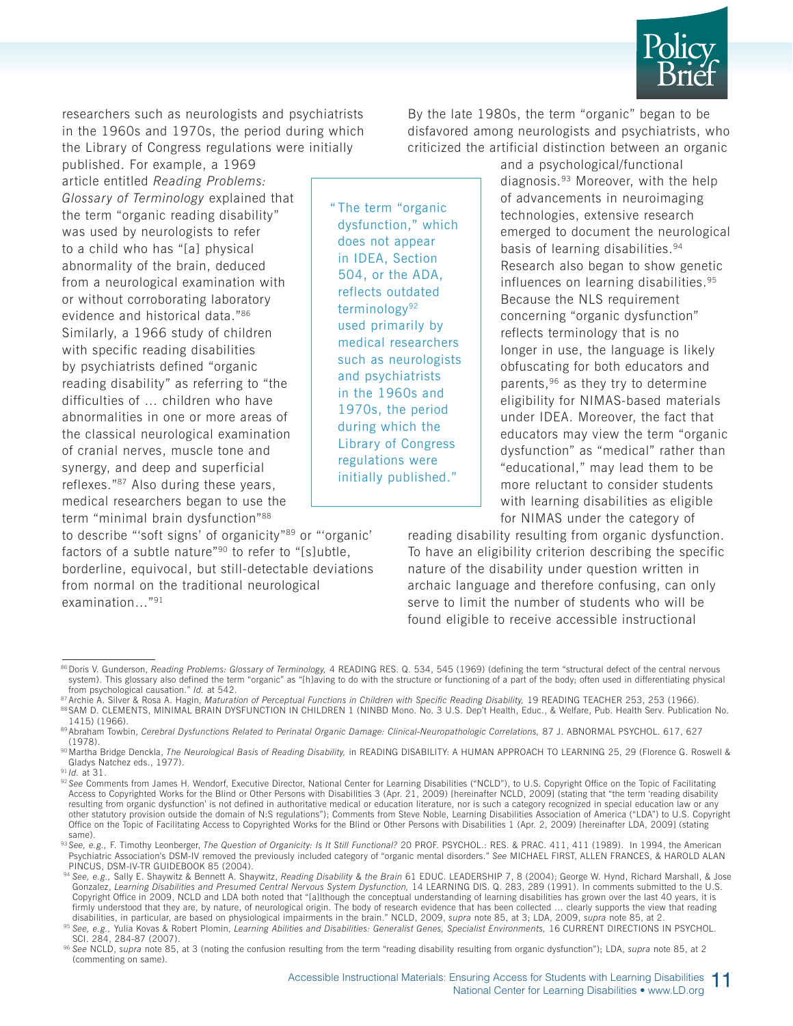

researchers such as neurologists and psychiatrists in the 1960s and 1970s, the period during which the Library of Congress regulations were initially

published. For example, a 1969 article entitled *Reading Problems: Glossary of Terminology* explained that the term "organic reading disability" was used by neurologists to refer to a child who has "[a] physical abnormality of the brain, deduced from a neurological examination with or without corroborating laboratory evidence and historical data."86 Similarly, a 1966 study of children with specific reading disabilities by psychiatrists defined "organic reading disability" as referring to "the difficulties of … children who have abnormalities in one or more areas of the classical neurological examination of cranial nerves, muscle tone and synergy, and deep and superficial reflexes."87 Also during these years, medical researchers began to use the term "minimal brain dysfunction"88

to describe "'soft signs' of organicity"89 or "'organic' factors of a subtle nature"90 to refer to "[s]ubtle, borderline, equivocal, but still-detectable deviations from normal on the traditional neurological examination…"91

" The term "organic dysfunction," which does not appear in IDEA, Section 504, or the ADA, reflects outdated terminology<sup>92</sup> used primarily by medical researchers such as neurologists and psychiatrists in the 1960s and 1970s, the period during which the Library of Congress regulations were initially published."

By the late 1980s, the term "organic" began to be disfavored among neurologists and psychiatrists, who criticized the artificial distinction between an organic

> and a psychological/functional diagnosis.93 Moreover, with the help of advancements in neuroimaging technologies, extensive research emerged to document the neurological basis of learning disabilities.94 Research also began to show genetic influences on learning disabilities.95 Because the NLS requirement concerning "organic dysfunction" reflects terminology that is no longer in use, the language is likely obfuscating for both educators and parents, <sup>96</sup> as they try to determine eligibility for NIMAS-based materials under IDEA. Moreover, the fact that educators may view the term "organic dysfunction" as "medical" rather than "educational," may lead them to be more reluctant to consider students with learning disabilities as eligible for NIMAS under the category of

reading disability resulting from organic dysfunction. To have an eligibility criterion describing the specific nature of the disability under question written in archaic language and therefore confusing, can only serve to limit the number of students who will be found eligible to receive accessible instructional

<sup>86</sup> Doris V. Gunderson, Reading Problems: Glossary of Terminology, 4 READING RES. Q. 534, 545 (1969) (defining the term "structural defect of the central nervous system). This glossary also defined the term "organic" as "[h]aving to do with the structure or functioning of a part of the body; often used in differentiating physical from psychological causation." *Id.* at 542.

<sup>87</sup> Archie A. Silver & Rosa A. Hagin, Maturation of Perceptual Functions in Children with Specific Reading Disability, 19 READING TEACHER 253, 253 (1966). 88 SAM D. CLEMENTS, MINIMAL BRAIN DYSFUNCTION IN CHILDREN 1 (NINBD Mono. No. 3 U.S. Dep't Health, Educ., & Welfare, Pub. Health Serv. Publication No. 1415) (1966).

<sup>89</sup> Abraham Towbin, *Cerebral Dysfunctions Related to Perinatal Organic Damage: Clinical-Neuropathologic Correlations,* 87 J. ABNORMAL PSYCHOL. 617, 627 (1978).

<sup>90</sup> Martha Bridge Denckla, The Neurological Basis of Reading Disability, in READING DISABILITY: A HUMAN APPROACH TO LEARNING 25, 29 (Florence G. Roswell & Gladys Natchez eds., 1977).

<sup>91</sup> *Id.* at 31.

<sup>&</sup>lt;sup>92</sup> See Comments from James H. Wendorf, Executive Director, National Center for Learning Disabilities ("NCLD"), to U.S. Copyright Office on the Topic of Facilitating<br>Access to Copyrighted Works for the Blind or Other Pers resulting from organic dysfunction' is not defined in authoritative medical or education literature, nor is such a category recognized in special education law or any other statutory provision outside the domain of N:S regulations"); Comments from Steve Noble, Learning Disabilities Association of America ("LDA") to U.S. Copyright Office on the Topic of Facilitating Access to Copyrighted Works for the Blind or Other Persons with Disabilities 1 (Apr. 2, 2009) [hereinafter LDA, 2009] (stating same).

<sup>93</sup> See, e.g., F. Timothy Leonberger, The Question of Organicity: Is It Still Functional? 20 PROF. PSYCHOL.: RES. & PRAC. 411, 411 (1989). In 1994, the American Psychiatric Association's DSM-IV removed the previously included category of "organic mental disorders." *See* MICHAEL FIRST, ALLEN FRANCES, & HAROLD ALAN PINCUS, DSM-IV-TR GUIDEBOOK 85 (2004). 94 *See, e.g.,* Sally E. Shaywitz & Bennett A. Shaywitz, *Reading Disability & the Brain* 61 EDUC. LEADERSHIP 7, 8 (2004); George W. Hynd, Richard Marshall, & Jose

Gonzalez, Learning Disabilities and Presumed Central Nervous System Dysfunction, 14 LEARNING DIS. Q. 283, 289 (1991). In comments submitted to the U.S. Copyright Office in 2009, NCLD and LDA both noted that "[a]lthough the conceptual understanding of learning disabilities has grown over the last 40 years, it is firmly understood that they are, by nature, of neurological origin. The body of research evidence that has been collected ... clearly supports the view that reading disabilities, in particular, are based on physiological i

<sup>&</sup>lt;sup>95</sup> See, e.g., Yulia Kovas & Robert Plomin, *Learning Abilities and Disabilities: Generalist Genes, Specialist Environments, 16 CURRENT DIRECTIONS IN PSYCHOL.* 

SCI. 284, 284-87 (2007). 96 *See* NCLD, *supra* note 85, at 3 (noting the confusion resulting from the term "reading disability resulting from organic dysfunction"); LDA, *supra* note 85, at 2 (commenting on same).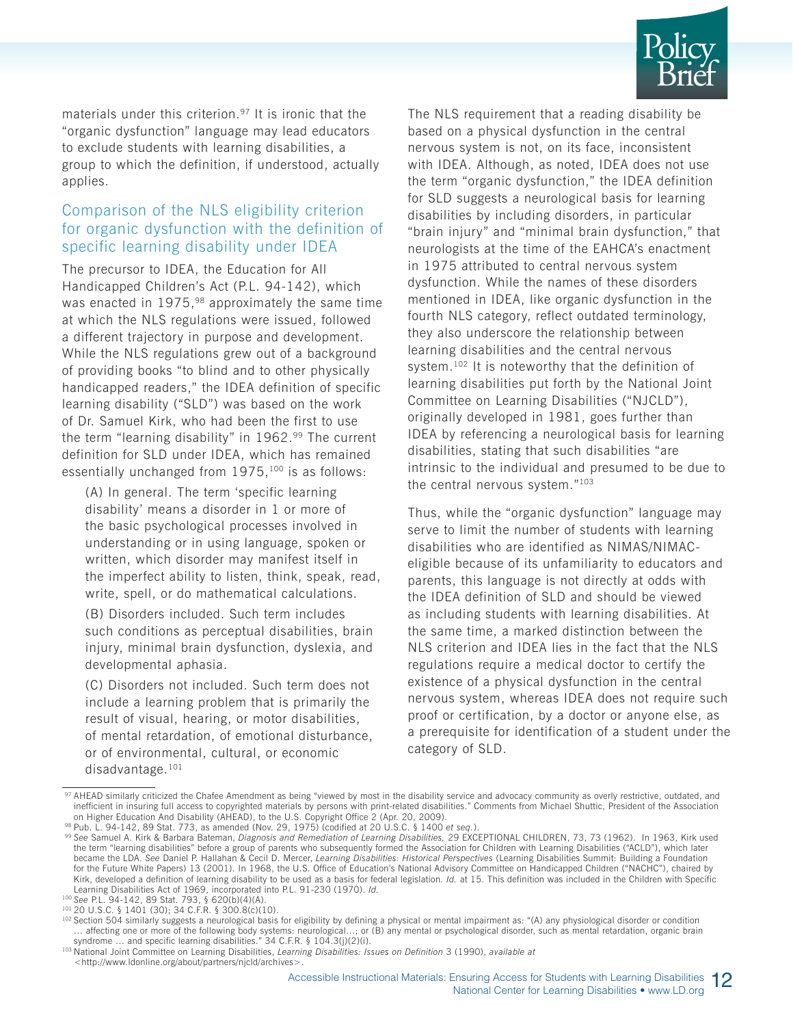

materials under this criterion.<sup>97</sup> It is ironic that the "organic dysfunction" language may lead educators to exclude students with learning disabilities, a group to which the definition, if understood, actually applies.

#### Comparison of the NLS eligibility criterion for organic dysfunction with the definition of specific learning disability under IDEA

The precursor to IDEA, the Education for All Handicapped Children's Act (P.L. 94-142), which was enacted in 1975,<sup>98</sup> approximately the same time at which the NLS regulations were issued, followed a different trajectory in purpose and development. While the NLS regulations grew out of a background of providing books "to blind and to other physically handicapped readers," the IDEA definition of specific learning disability ("SLD") was based on the work of Dr. Samuel Kirk, who had been the first to use the term "learning disability" in 1962.<sup>99</sup> The current definition for SLD under IDEA, which has remained essentially unchanged from 1975,<sup>100</sup> is as follows:

(A) In general. The term 'specific learning disability' means a disorder in 1 or more of the basic psychological processes involved in understanding or in using language, spoken or written, which disorder may manifest itself in the imperfect ability to listen, think, speak, read, write, spell, or do mathematical calculations.

(B) Disorders included. Such term includes such conditions as perceptual disabilities, brain injury, minimal brain dysfunction, dyslexia, and developmental aphasia.

(C) Disorders not included. Such term does not include a learning problem that is primarily the result of visual, hearing, or motor disabilities, of mental retardation, of emotional disturbance, or of environmental, cultural, or economic disadvantage.<sup>101</sup>

The NLS requirement that a reading disability be based on a physical dysfunction in the central nervous system is not, on its face, inconsistent with IDEA. Although, as noted, IDEA does not use the term "organic dysfunction," the IDEA definition for SLD suggests a neurological basis for learning disabilities by including disorders, in particular "brain injury" and "minimal brain dysfunction," that neurologists at the time of the EAHCA's enactment in 1975 attributed to central nervous system dysfunction. While the names of these disorders mentioned in IDEA, like organic dysfunction in the fourth NLS category, reflect outdated terminology, they also underscore the relationship between learning disabilities and the central nervous system.<sup>102</sup> It is noteworthy that the definition of learning disabilities put forth by the National Joint Committee on Learning Disabilities ("NJCLD"), originally developed in 1981, goes further than IDEA by referencing a neurological basis for learning disabilities, stating that such disabilities "are intrinsic to the individual and presumed to be due to the central nervous system."103

Thus, while the "organic dysfunction" language may serve to limit the number of students with learning disabilities who are identified as NIMAS/NIMACeligible because of its unfamiliarity to educators and parents, this language is not directly at odds with the IDEA definition of SLD and should be viewed as including students with learning disabilities. At the same time, a marked distinction between the NLS criterion and IDEA lies in the fact that the NLS regulations require a medical doctor to certify the existence of a physical dysfunction in the central nervous system, whereas IDEA does not require such proof or certification, by a doctor or anyone else, as a prerequisite for identification of a student under the category of SLD.

<sup>97</sup> AHEAD similarly criticized the Chafee Amendment as being "viewed by most in the disability service and advocacy community as overly restrictive, outdated, and inefficient in insuring full access to copyrighted materials by persons with print-related disabilities." Comments from Michael Shuttic, President of the Association<br>on Higher Education And Disability (AHEAD), to the U.S.

<sup>&</sup>lt;sup>98</sup> Pub. L. 94-142, 89 Stat. 773, as amended (Nov. 29, 1975) (codified at 20 U.S.C. § 1400 et seq.).<br><sup>99</sup> See Samuel A. Kirk & Barbara Bateman, *Diagnosis and Remediation of Learning Disabilities, 29 EXCEPTIONAL CHILDREN,* the term "learning disabilities" before a group of parents who subsequently formed the Association for Children with Learning Disabilities ("ACLD"), which later became the LDA. *See* Daniel P. Hallahan & Cecil D. Mercer, *Learning Disabilities: Historical Perspectives* (Learning Disabilities Summit: Building a Foundation for the Future White Papers) 13 (2001). In 1968, the U.S. Office of Education's National Advisory Committee on Handicapped Children ("NACHC"), chaired by Kirk, developed a definition of learning disability to be used as a basis for federal legislation. *Id.* at 15. This definition was included in the Children with Specific Learning Disabilities Act of 1969, incorporated into P.L. 91-230 (1970). *Id.*

<sup>&</sup>lt;sup>101</sup> 20 U.S.C. § 1401 (30); 34 C.F.R. § 300.8(c)(10).

<sup>102</sup> Section 504 similarly suggests a neurological basis for eligibility by defining a physical or mental impairment as: "(A) any physiological disorder or condition ... affecting one or more of the following body systems: neurological...; or (B) any mental or psychological disorder, such as mental retardation, organic brain syndrome ... and specific learning disabilities." 34 C.F.R. §

<sup>&</sup>lt;sup>103</sup> National Joint Committee on Learning Disabilities, Learning Disabilities: *Issues on Definition* 3 (1990), *available at* <http://www.ldonline.org/about/partners/njcld/archives>.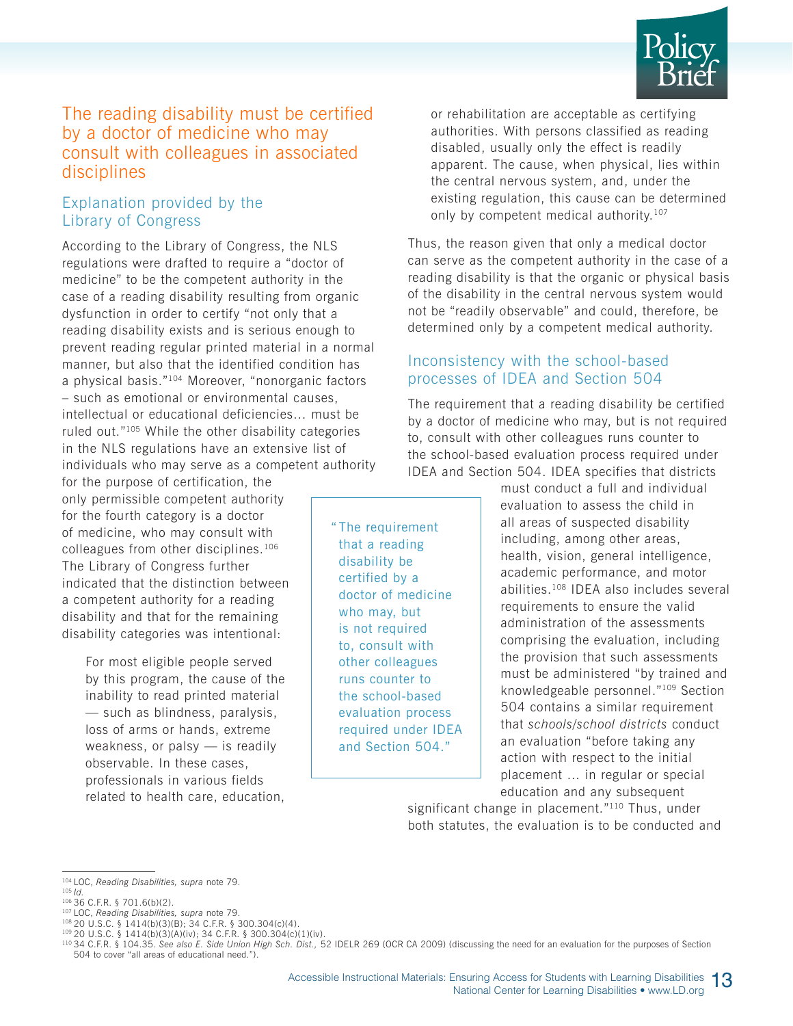

#### The reading disability must be certified by a doctor of medicine who may consult with colleagues in associated disciplines

#### Explanation provided by the Library of Congress

According to the Library of Congress, the NLS regulations were drafted to require a "doctor of medicine" to be the competent authority in the case of a reading disability resulting from organic dysfunction in order to certify "not only that a reading disability exists and is serious enough to prevent reading regular printed material in a normal manner, but also that the identified condition has a physical basis."104 Moreover, "nonorganic factors – such as emotional or environmental causes, intellectual or educational deficiencies… must be ruled out."105 While the other disability categories in the NLS regulations have an extensive list of individuals who may serve as a competent authority

for the purpose of certification, the only permissible competent authority for the fourth category is a doctor of medicine, who may consult with colleagues from other disciplines.106 The Library of Congress further indicated that the distinction between a competent authority for a reading disability and that for the remaining disability categories was intentional:

> For most eligible people served by this program, the cause of the inability to read printed material — such as blindness, paralysis, loss of arms or hands, extreme weakness, or palsy — is readily observable. In these cases, professionals in various fields related to health care, education,

" The requirement that a reading disability be certified by a doctor of medicine who may, but is not required to, consult with other colleagues runs counter to the school-based evaluation process required under IDEA and Section 504."

or rehabilitation are acceptable as certifying authorities. With persons classified as reading disabled, usually only the effect is readily apparent. The cause, when physical, lies within the central nervous system, and, under the existing regulation, this cause can be determined only by competent medical authority.<sup>107</sup>

Thus, the reason given that only a medical doctor can serve as the competent authority in the case of a reading disability is that the organic or physical basis of the disability in the central nervous system would not be "readily observable" and could, therefore, be determined only by a competent medical authority.

#### Inconsistency with the school-based processes of IDEA and Section 504

The requirement that a reading disability be certified by a doctor of medicine who may, but is not required to, consult with other colleagues runs counter to the school-based evaluation process required under IDEA and Section 504. IDEA specifies that districts

> must conduct a full and individual evaluation to assess the child in all areas of suspected disability including, among other areas, health, vision, general intelligence, academic performance, and motor abilities.108 IDEA also includes several requirements to ensure the valid administration of the assessments comprising the evaluation, including the provision that such assessments must be administered "by trained and knowledgeable personnel."109 Section 504 contains a similar requirement that *schools/school districts* conduct an evaluation "before taking any action with respect to the initial placement … in regular or special education and any subsequent

significant change in placement."<sup>110</sup> Thus, under both statutes, the evaluation is to be conducted and

<sup>104</sup> LOC, *Reading Disabilities, supra* note 79.

<sup>105</sup> *Id.* 106 36 C.F.R. § 701.6(b)(2).

<sup>107</sup> LOC, *Reading Disabilities, supra* note 79.

<sup>108 20</sup> U.S.C. § 1414(b)(3)(B); 34 C.F.R. § 300.304(c)(4). 109 20 U.S.C. § 1414(b)(3)(A)(iv); 34 C.F.R. § 300.304(c)(1)(iv).

<sup>110 34</sup> C.F.R. § 104.35. *See also E. Side Union High Sch. Dist.,* 52 IDELR 269 (OCR CA 2009) (discussing the need for an evaluation for the purposes of Section 504 to cover "all areas of educational need.").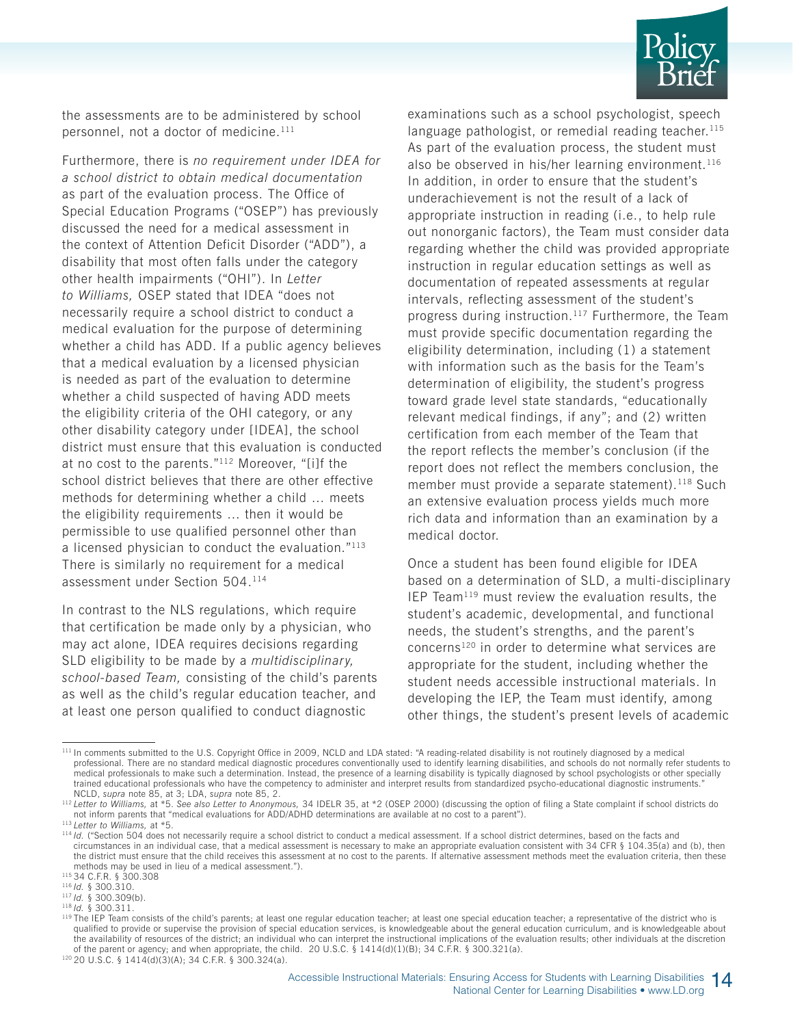

the assessments are to be administered by school personnel, not a doctor of medicine.<sup>111</sup>

Furthermore, there is *no requirement under IDEA for a school district to obtain medical documentation* as part of the evaluation process. The Office of Special Education Programs ("OSEP") has previously discussed the need for a medical assessment in the context of Attention Deficit Disorder ("ADD"), a disability that most often falls under the category other health impairments ("OHI"). In *Letter to Williams,* OSEP stated that IDEA "does not necessarily require a school district to conduct a medical evaluation for the purpose of determining whether a child has ADD. If a public agency believes that a medical evaluation by a licensed physician is needed as part of the evaluation to determine whether a child suspected of having ADD meets the eligibility criteria of the OHI category, or any other disability category under [IDEA], the school district must ensure that this evaluation is conducted at no cost to the parents."112 Moreover, "[i]f the school district believes that there are other effective methods for determining whether a child … meets the eligibility requirements … then it would be permissible to use qualified personnel other than a licensed physician to conduct the evaluation."113 There is similarly no requirement for a medical assessment under Section 504.114

In contrast to the NLS regulations, which require that certification be made only by a physician, who may act alone, IDEA requires decisions regarding SLD eligibility to be made by a *multidisciplinary, school-based Team,* consisting of the child's parents as well as the child's regular education teacher, and at least one person qualified to conduct diagnostic

examinations such as a school psychologist, speech language pathologist, or remedial reading teacher. $115$ As part of the evaluation process, the student must also be observed in his/her learning environment.<sup>116</sup> In addition, in order to ensure that the student's underachievement is not the result of a lack of appropriate instruction in reading (i.e., to help rule out nonorganic factors), the Team must consider data regarding whether the child was provided appropriate instruction in regular education settings as well as documentation of repeated assessments at regular intervals, reflecting assessment of the student's progress during instruction.117 Furthermore, the Team must provide specific documentation regarding the eligibility determination, including (1) a statement with information such as the basis for the Team's determination of eligibility, the student's progress toward grade level state standards, "educationally relevant medical findings, if any"; and (2) written certification from each member of the Team that the report reflects the member's conclusion (if the report does not reflect the members conclusion, the member must provide a separate statement).<sup>118</sup> Such an extensive evaluation process yields much more rich data and information than an examination by a medical doctor.

Once a student has been found eligible for IDEA based on a determination of SLD, a multi-disciplinary IEP Team119 must review the evaluation results, the student's academic, developmental, and functional needs, the student's strengths, and the parent's concerns<sup>120</sup> in order to determine what services are appropriate for the student, including whether the student needs accessible instructional materials. In developing the IEP, the Team must identify, among other things, the student's present levels of academic

<sup>&</sup>lt;sup>111</sup> In comments submitted to the U.S. Copyright Office in 2009, NCLD and LDA stated: "A reading-related disability is not routinely diagnosed by a medical professional. There are no standard medical diagnostic procedures conventionally used to identify learning disabilities, and schools do not normally refer students to medical professionals to make such a determination. Instead, the presence of a learning disability is typically diagnosed by school psychologists or other specially trained educational professionals who have the competency to administer and interpret results from standardized psycho-educational diagnostic instruments."

NCLD, supra note 85, at 3; LDA, supra note 85, 2.<br><sup>112</sup> Letter to Williams, at \*5. See also Letter to Anonymous, 34 IDELR 35, at \*2 (OSEP 2000) (discussing the option of filing a State complaint if school districts do not inform parents that "medical evaluations for ADD/ADHD determinations are available at no cost to a parent").<br><sup>113</sup> Letter to Williams, at \*5.<br><sup>114</sup> Id. ("Section 504 does not necessarily require a school district to co

circumstances in an individual case, that a medical assessment is necessary to make an appropriate evaluation consistent with 34 CFR § 104.35(a) and (b), then the district must ensure that the child receives this assessment at no cost to the parents. If alternative assessment methods meet the evaluation criteria, then these methods may be used in lieu of a medical assessment ")

<sup>115 34</sup> C.F.R. § 300.308

<sup>116</sup> *Id.* § 300.310.

<sup>117</sup> *Id.* § 300.309(b).

<sup>118</sup> *Id.* § 300.311.

<sup>119</sup> The IEP Team consists of the child's parents; at least one regular education teacher; at least one special education teacher; a representative of the district who is qualified to provide or supervise the provision of special education services, is knowledgeable about the general education curriculum, and is knowledgeable about the availability of resources of the district; an individual who can interpret the instructional implications of the evaluation results; other individuals at the discretion of the parent or agency; and when appropriate, the child. 20 U.S.C. § 1414(d)(1)(B); 34 C.F.R. § 300.321(a).

 $120$  20 U.S.C. § 1414(d)(3)(A); 34 C.F.R. § 300.324(a).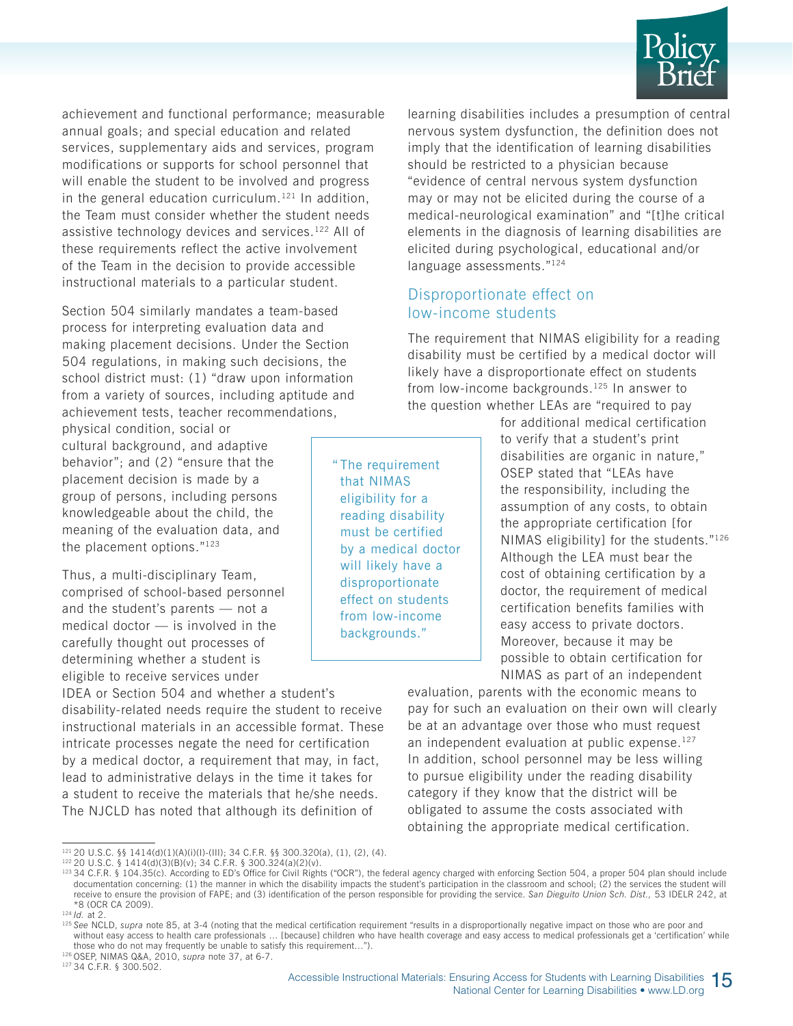

achievement and functional performance; measurable annual goals; and special education and related services, supplementary aids and services, program modifications or supports for school personnel that will enable the student to be involved and progress in the general education curriculum.<sup>121</sup> In addition, the Team must consider whether the student needs assistive technology devices and services.122 All of these requirements reflect the active involvement of the Team in the decision to provide accessible instructional materials to a particular student.

Section 504 similarly mandates a team-based process for interpreting evaluation data and making placement decisions. Under the Section 504 regulations, in making such decisions, the school district must: (1) "draw upon information from a variety of sources, including aptitude and achievement tests, teacher recommendations,

physical condition, social or cultural background, and adaptive behavior"; and (2) "ensure that the placement decision is made by a group of persons, including persons knowledgeable about the child, the meaning of the evaluation data, and the placement options."123

Thus, a multi-disciplinary Team, comprised of school-based personnel and the student's parents — not a medical doctor — is involved in the carefully thought out processes of determining whether a student is eligible to receive services under

IDEA or Section 504 and whether a student's disability-related needs require the student to receive instructional materials in an accessible format. These intricate processes negate the need for certification by a medical doctor, a requirement that may, in fact, lead to administrative delays in the time it takes for a student to receive the materials that he/she needs. The NJCLD has noted that although its definition of

learning disabilities includes a presumption of central nervous system dysfunction, the definition does not imply that the identification of learning disabilities should be restricted to a physician because "evidence of central nervous system dysfunction may or may not be elicited during the course of a medical-neurological examination" and "[t]he critical elements in the diagnosis of learning disabilities are elicited during psychological, educational and/or language assessments."<sup>124</sup>

#### Disproportionate effect on low-income students

The requirement that NIMAS eligibility for a reading disability must be certified by a medical doctor will likely have a disproportionate effect on students from low-income backgrounds.<sup>125</sup> In answer to the question whether LEAs are "required to pay

" The requirement that NIMAS eligibility for a reading disability must be certified by a medical doctor will likely have a disproportionate effect on students from low-income backgrounds."

for additional medical certification to verify that a student's print disabilities are organic in nature," OSEP stated that "LEAs have the responsibility, including the assumption of any costs, to obtain the appropriate certification [for NIMAS eligibility] for the students."126 Although the LEA must bear the cost of obtaining certification by a doctor, the requirement of medical certification benefits families with easy access to private doctors. Moreover, because it may be possible to obtain certification for NIMAS as part of an independent

evaluation, parents with the economic means to pay for such an evaluation on their own will clearly be at an advantage over those who must request an independent evaluation at public expense.<sup>127</sup> In addition, school personnel may be less willing to pursue eligibility under the reading disability category if they know that the district will be obligated to assume the costs associated with obtaining the appropriate medical certification.

<sup>121 20</sup> U.S.C. §§ 1414(d)(1)(A)(i)(I)-(III); 34 C.F.R. §§ 300.320(a), (1), (2), (4).

<sup>122 20</sup> U.S.C. § 1414(d)(3)(B)(v); 34 C.F.R. § 300.324(a)(2)(v).

<sup>&</sup>lt;sup>123</sup> 34 C.F.R. § 104.35(c). According to ED's Office for Civil Rights ("OCR"), the federal agency charged with enforcing Section 504, a proper 504 plan should include documentation concerning: (1) the manner in which the disability impacts the student's participation in the classroom and school; (2) the services the student will receive to ensure the provision of FAPE; and (3) identification of the person responsible for providing the service. San Dieguito Union Sch. Dist., 53 IDELR 242, at \*8 (OCR CA 2009).

<sup>&</sup>lt;sup>124</sup> *Id.* at 2.

<sup>&</sup>lt;sup>125</sup> See NCLD, supra note 85, at 3-4 (noting that the medical certification requirement "results in a disproportionally negative impact on those who are poor and without easy access to health care professionals … [because] children who have health coverage and easy access to medical professionals get a 'certification' while those who do not may frequently be unable to satisfy this requirement…"). 126 OSEP, NIMAS Q&A, 2010, *supra* note 37, at 6-7.

<sup>127 34</sup> C.F.R. § 300.502.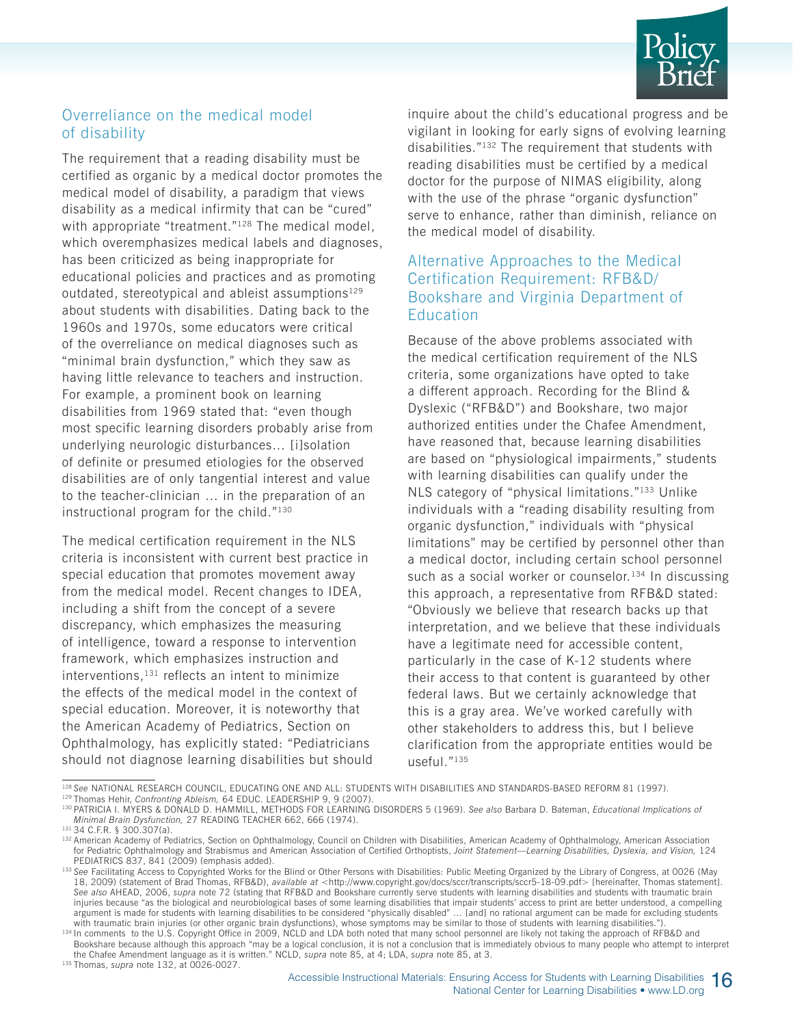

#### Overreliance on the medical model of disability

The requirement that a reading disability must be certified as organic by a medical doctor promotes the medical model of disability, a paradigm that views disability as a medical infirmity that can be "cured" with appropriate "treatment."<sup>128</sup> The medical model, which overemphasizes medical labels and diagnoses, has been criticized as being inappropriate for educational policies and practices and as promoting outdated, stereotypical and ableist assumptions $129$ about students with disabilities. Dating back to the 1960s and 1970s, some educators were critical of the overreliance on medical diagnoses such as "minimal brain dysfunction," which they saw as having little relevance to teachers and instruction. For example, a prominent book on learning disabilities from 1969 stated that: "even though most specific learning disorders probably arise from underlying neurologic disturbances… [i]solation of definite or presumed etiologies for the observed disabilities are of only tangential interest and value to the teacher-clinician … in the preparation of an instructional program for the child."130

The medical certification requirement in the NLS criteria is inconsistent with current best practice in special education that promotes movement away from the medical model. Recent changes to IDEA, including a shift from the concept of a severe discrepancy, which emphasizes the measuring of intelligence, toward a response to intervention framework, which emphasizes instruction and interventions, $131$  reflects an intent to minimize the effects of the medical model in the context of special education. Moreover, it is noteworthy that the American Academy of Pediatrics, Section on Ophthalmology, has explicitly stated: "Pediatricians should not diagnose learning disabilities but should inquire about the child's educational progress and be vigilant in looking for early signs of evolving learning disabilities."132 The requirement that students with reading disabilities must be certified by a medical doctor for the purpose of NIMAS eligibility, along with the use of the phrase "organic dysfunction" serve to enhance, rather than diminish, reliance on the medical model of disability.

#### Alternative Approaches to the Medical Certification Requirement: RFB&D/ Bookshare and Virginia Department of **Education**

Because of the above problems associated with the medical certification requirement of the NLS criteria, some organizations have opted to take a different approach. Recording for the Blind & Dyslexic ("RFB&D") and Bookshare, two major authorized entities under the Chafee Amendment, have reasoned that, because learning disabilities are based on "physiological impairments," students with learning disabilities can qualify under the NLS category of "physical limitations."133 Unlike individuals with a "reading disability resulting from organic dysfunction," individuals with "physical limitations" may be certified by personnel other than a medical doctor, including certain school personnel such as a social worker or counselor.<sup>134</sup> In discussing this approach, a representative from RFB&D stated: "Obviously we believe that research backs up that interpretation, and we believe that these individuals have a legitimate need for accessible content, particularly in the case of K-12 students where their access to that content is guaranteed by other federal laws. But we certainly acknowledge that this is a gray area. We've worked carefully with other stakeholders to address this, but I believe clarification from the appropriate entities would be useful."135

129 Thomas Hehir, *Confronting Ableism,* 64 EDUC. LEADERSHIP 9, 9 (2007).

<sup>128</sup> *See* NATIONAL RESEARCH COUNCIL, EDUCATING ONE AND ALL: STUDENTS WITH DISABILITIES AND STANDARDS-BASED REFORM 81 (1997).

<sup>130</sup> PATRICIA I. MYERS & DONALD D. HAMMILL, METHODS FOR LEARNING DISORDERS 5 (1969). *See also* Barbara D. Bateman, *Educational Implications of Minimal Brain Dysfunction,* 27 READING TEACHER 662, 666 (1974). 131 34 C.F.R. § 300.307(a).

<sup>132</sup> American Academy of Pediatrics, Section on Ophthalmology, Council on Children with Disabilities, American Academy of Ophthalmology, American Association for Pediatric Ophthalmology and Strabismus and American Association of Certified Orthoptists, *Joint Statement—Learning Disabilities, Dyslexia, and Vision,* 124 PEDIATRICS 837, 841 (2009) (emphasis added).

<sup>133</sup> See Facilitating Access to Copyrighted Works for the Blind or Other Persons with Disabilities: Public Meeting Organized by the Library of Congress, at 0026 (May 18, 2009) (statement of Brad Thomas, RFB&D), *available at* <http://www.copyright.gov/docs/sccr/transcripts/sccr5-18-09.pdf> [hereinafter, Thomas statement]. *See also* AHEAD, 2006, *supra* note 72 (stating that RFB&D and Bookshare currently serve students with learning disabilities and students with traumatic brain injuries because "as the biological and neurobiological bases of some learning disabilities that impair students' access to print are better understood, a compelling argument is made for students with learning disabilities to be considered "physically disabled" … [and] no rational argument can be made for excluding students with traumatic brain injuries (or other organic brain dysfunctions), whose symptoms may be similar to those of students with learning disabilities.")

<sup>134</sup> In comments to the U.S. Copyright Office in 2009, NCLD and LDA both noted that many school personnel are likely not taking the approach of RFB&D and Bookshare because although this approach "may be a logical conclusion, it is not a conclusion that is immediately obvious to many people who attempt to interpret the Chafee Amendment language as it is written." NCLD, *supra* note 85, at 4; LDA, *supra* note 85, at 3. 135 Thomas, *supra* note 132, at 0026-0027.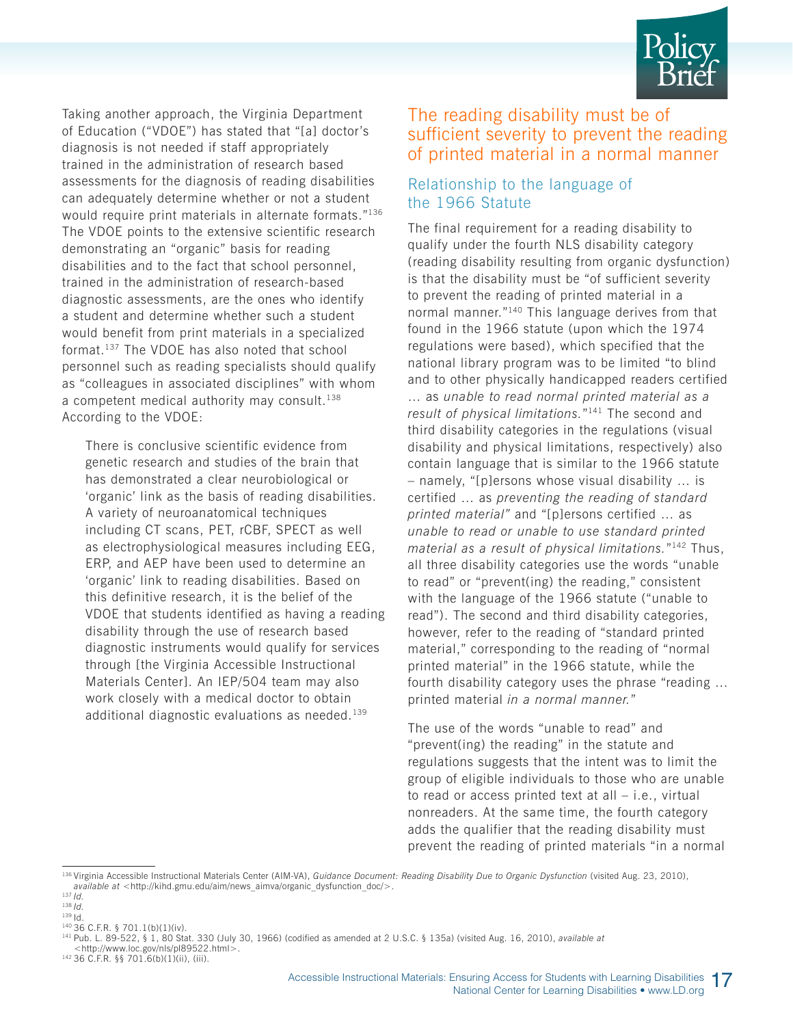

Taking another approach, the Virginia Department of Education ("VDOE") has stated that "[a] doctor's diagnosis is not needed if staff appropriately trained in the administration of research based assessments for the diagnosis of reading disabilities can adequately determine whether or not a student would require print materials in alternate formats."136 The VDOE points to the extensive scientific research demonstrating an "organic" basis for reading disabilities and to the fact that school personnel, trained in the administration of research-based diagnostic assessments, are the ones who identify a student and determine whether such a student would benefit from print materials in a specialized format.137 The VDOE has also noted that school personnel such as reading specialists should qualify as "colleagues in associated disciplines" with whom a competent medical authority may consult.<sup>138</sup> According to the VDOE:

There is conclusive scientific evidence from genetic research and studies of the brain that has demonstrated a clear neurobiological or 'organic' link as the basis of reading disabilities. A variety of neuroanatomical techniques including CT scans, PET, rCBF, SPECT as well as electrophysiological measures including EEG, ERP, and AEP have been used to determine an 'organic' link to reading disabilities. Based on this definitive research, it is the belief of the VDOE that students identified as having a reading disability through the use of research based diagnostic instruments would qualify for services through [the Virginia Accessible Instructional Materials Center]. An IEP/504 team may also work closely with a medical doctor to obtain additional diagnostic evaluations as needed.139

#### The reading disability must be of sufficient severity to prevent the reading of printed material in a normal manner

#### Relationship to the language of the 1966 Statute

The final requirement for a reading disability to qualify under the fourth NLS disability category (reading disability resulting from organic dysfunction) is that the disability must be "of sufficient severity to prevent the reading of printed material in a normal manner."140 This language derives from that found in the 1966 statute (upon which the 1974 regulations were based), which specified that the national library program was to be limited "to blind and to other physically handicapped readers certified … as *unable to read normal printed material as a result of physical limitations.*"141 The second and third disability categories in the regulations (visual disability and physical limitations, respectively) also contain language that is similar to the 1966 statute – namely, "[p]ersons whose visual disability … is certified … as *preventing the reading of standard printed material"* and "[p]ersons certified … as *unable to read or unable to use standard printed material as a result of physical limitations.*"142 Thus, all three disability categories use the words "unable to read" or "prevent(ing) the reading," consistent with the language of the 1966 statute ("unable to read"). The second and third disability categories, however, refer to the reading of "standard printed material," corresponding to the reading of "normal printed material" in the 1966 statute, while the fourth disability category uses the phrase "reading … printed material *in a normal manner.*"

The use of the words "unable to read" and "prevent(ing) the reading" in the statute and regulations suggests that the intent was to limit the group of eligible individuals to those who are unable to read or access printed text at all – i.e., virtual nonreaders. At the same time, the fourth category adds the qualifier that the reading disability must prevent the reading of printed materials "in a normal

<sup>&</sup>lt;sup>136</sup> Virginia Accessible Instructional Materials Center (AIM-VA), *Guidance Document: Reading Disability Due to Organic Dysfunction* (visited Aug. 23, 2010), *available at* <http://kihd.gmu.edu/aim/news\_aimva/organic\_dysfunction\_doc/>.

 $137$  *Id.* 

<sup>138</sup> *Id.* 139 Id.

<sup>140 36</sup> C.F.R. § 701.1(b)(1)(iv).

<sup>141</sup> Pub. L. 89-522, § 1, 80 Stat. 330 (July 30, 1966) (codified as amended at 2 U.S.C. § 135a) (visited Aug. 16, 2010), *available at*

<sup>&</sup>lt;http://www.loc.gov/nls/pl89522.html>. 142 36 C.F.R. §§ 701.6(b)(1)(ii), (iii).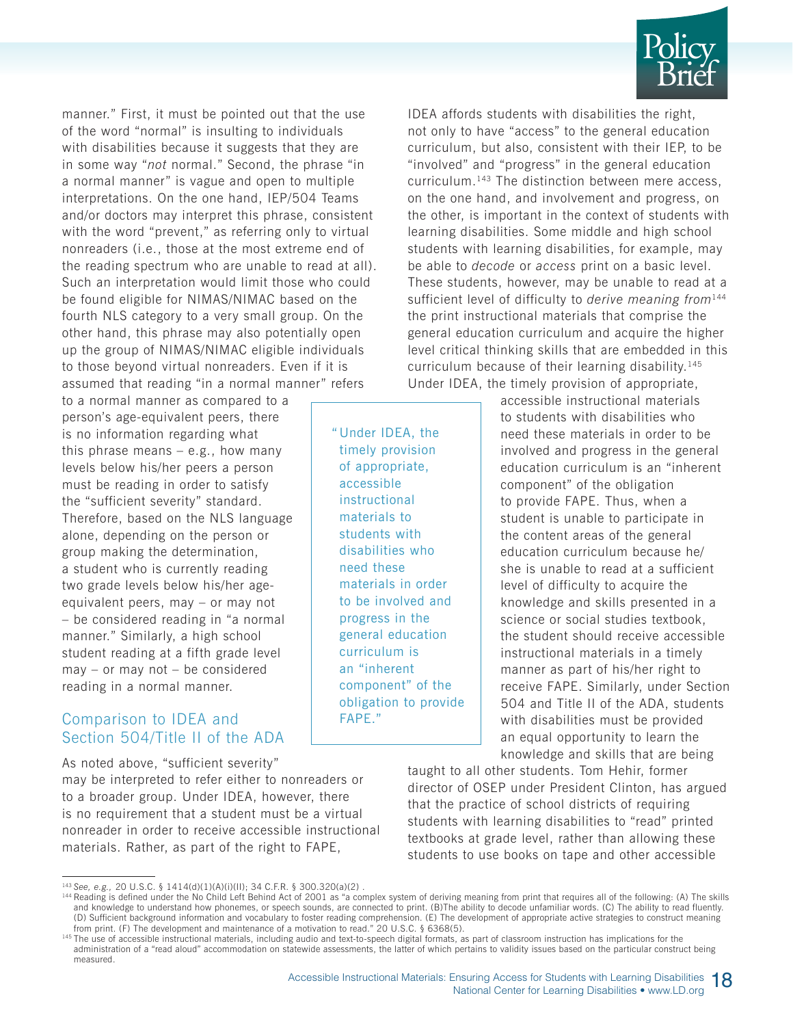

manner." First, it must be pointed out that the use of the word "normal" is insulting to individuals with disabilities because it suggests that they are in some way "*not* normal." Second, the phrase "in a normal manner" is vague and open to multiple interpretations. On the one hand, IEP/504 Teams and/or doctors may interpret this phrase, consistent with the word "prevent," as referring only to virtual nonreaders (i.e., those at the most extreme end of the reading spectrum who are unable to read at all). Such an interpretation would limit those who could be found eligible for NIMAS/NIMAC based on the fourth NLS category to a very small group. On the other hand, this phrase may also potentially open up the group of NIMAS/NIMAC eligible individuals to those beyond virtual nonreaders. Even if it is assumed that reading "in a normal manner" refers

to a normal manner as compared to a person's age-equivalent peers, there is no information regarding what this phrase means  $-$  e.g., how many levels below his/her peers a person must be reading in order to satisfy the "sufficient severity" standard. Therefore, based on the NLS language alone, depending on the person or group making the determination, a student who is currently reading two grade levels below his/her ageequivalent peers, may – or may not – be considered reading in "a normal manner." Similarly, a high school student reading at a fifth grade level may – or may not – be considered reading in a normal manner.

#### Comparison to IDEA and Section 504/Title II of the ADA

As noted above, "sufficient severity"

may be interpreted to refer either to nonreaders or to a broader group. Under IDEA, however, there is no requirement that a student must be a virtual nonreader in order to receive accessible instructional materials. Rather, as part of the right to FAPE,

IDEA affords students with disabilities the right, not only to have "access" to the general education curriculum, but also, consistent with their IEP, to be "involved" and "progress" in the general education curriculum.143 The distinction between mere access, on the one hand, and involvement and progress, on the other, is important in the context of students with learning disabilities. Some middle and high school students with learning disabilities, for example, may be able to *decode* or *access* print on a basic level. These students, however, may be unable to read at a sufficient level of difficulty to *derive meaning from*<sup>144</sup> the print instructional materials that comprise the general education curriculum and acquire the higher level critical thinking skills that are embedded in this curriculum because of their learning disability.145 Under IDEA, the timely provision of appropriate,

" Under IDEA, the timely provision of appropriate, accessible instructional materials to students with disabilities who need these materials in order to be involved and progress in the general education curriculum is an "inherent component" of the obligation to provide FAPE."

accessible instructional materials to students with disabilities who need these materials in order to be involved and progress in the general education curriculum is an "inherent component" of the obligation to provide FAPE. Thus, when a student is unable to participate in the content areas of the general education curriculum because he/ she is unable to read at a sufficient level of difficulty to acquire the knowledge and skills presented in a science or social studies textbook, the student should receive accessible instructional materials in a timely manner as part of his/her right to receive FAPE. Similarly, under Section 504 and Title II of the ADA, students with disabilities must be provided an equal opportunity to learn the knowledge and skills that are being

taught to all other students. Tom Hehir, former director of OSEP under President Clinton, has argued that the practice of school districts of requiring students with learning disabilities to "read" printed textbooks at grade level, rather than allowing these students to use books on tape and other accessible

<sup>143</sup> *See, e.g.,* 20 U.S.C. § 1414(d)(1)(A)(i)(II); 34 C.F.R. § 300.320(a)(2) .

<sup>144</sup> Reading is defined under the No Child Left Behind Act of 2001 as "a complex system of deriving meaning from print that requires all of the following: (A) The skills and knowledge to understand how phonemes, or speech sounds, are connected to print. (B)The ability to decode unfamiliar words. (C) The ability to read fluently. (D) Sufficient background information and vocabulary to foster reading comprehension. (E) The development of appropriate active strategies to construct meaning from print. (F) The development and maintenance of a motivation to read." 20 U.S.C. § 6368(5).

<sup>&</sup>lt;sup>145</sup> The use of accessible instructional materials, including audio and text-to-speech digital formats, as part of classroom instruction has implications for the administration of a "read aloud" accommodation on statewide assessments, the latter of which pertains to validity issues based on the particular construct being measured.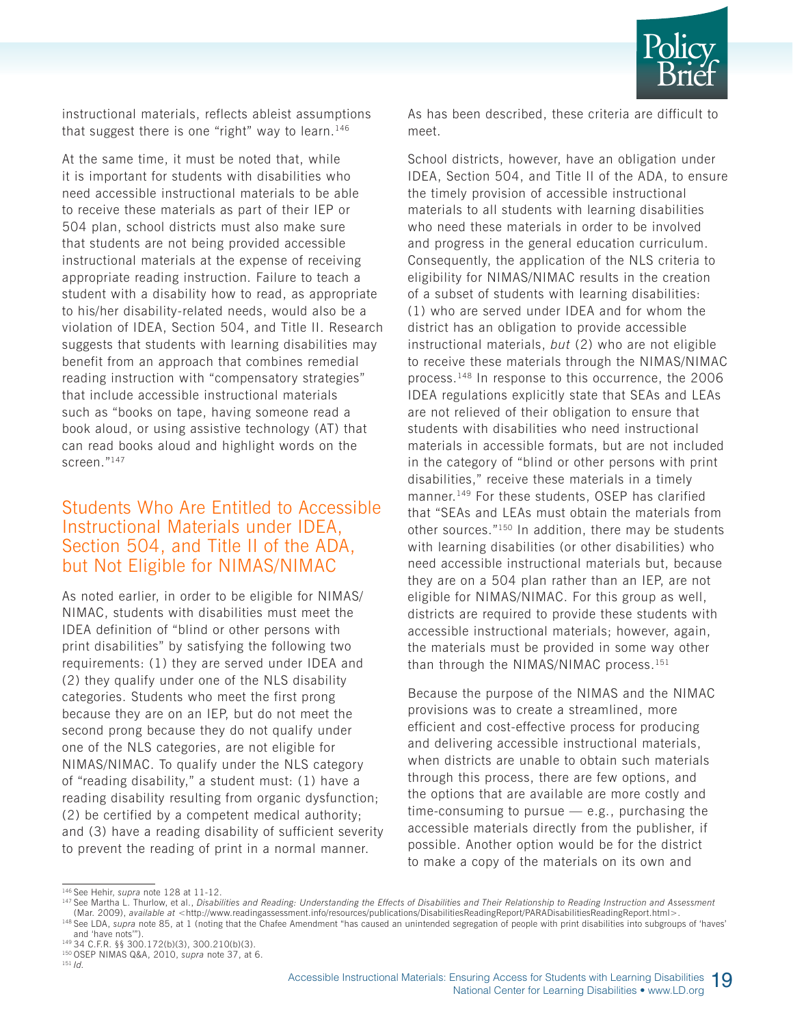

instructional materials, reflects ableist assumptions that suggest there is one "right" way to learn.<sup>146</sup>

At the same time, it must be noted that, while it is important for students with disabilities who need accessible instructional materials to be able to receive these materials as part of their IEP or 504 plan, school districts must also make sure that students are not being provided accessible instructional materials at the expense of receiving appropriate reading instruction. Failure to teach a student with a disability how to read, as appropriate to his/her disability-related needs, would also be a violation of IDEA, Section 504, and Title II. Research suggests that students with learning disabilities may benefit from an approach that combines remedial reading instruction with "compensatory strategies" that include accessible instructional materials such as "books on tape, having someone read a book aloud, or using assistive technology (AT) that can read books aloud and highlight words on the screen."147

#### Students Who Are Entitled to Accessible Instructional Materials under IDEA, Section 504, and Title II of the ADA, but Not Eligible for NIMAS/NIMAC

As noted earlier, in order to be eligible for NIMAS/ NIMAC, students with disabilities must meet the IDEA definition of "blind or other persons with print disabilities" by satisfying the following two requirements: (1) they are served under IDEA and (2) they qualify under one of the NLS disability categories. Students who meet the first prong because they are on an IEP, but do not meet the second prong because they do not qualify under one of the NLS categories, are not eligible for NIMAS/NIMAC. To qualify under the NLS category of "reading disability," a student must: (1) have a reading disability resulting from organic dysfunction; (2) be certified by a competent medical authority; and (3) have a reading disability of sufficient severity to prevent the reading of print in a normal manner.

As has been described, these criteria are difficult to meet.

School districts, however, have an obligation under IDEA, Section 504, and Title II of the ADA, to ensure the timely provision of accessible instructional materials to all students with learning disabilities who need these materials in order to be involved and progress in the general education curriculum. Consequently, the application of the NLS criteria to eligibility for NIMAS/NIMAC results in the creation of a subset of students with learning disabilities: (1) who are served under IDEA and for whom the district has an obligation to provide accessible instructional materials, *but* (2) who are not eligible to receive these materials through the NIMAS/NIMAC process.148 In response to this occurrence, the 2006 IDEA regulations explicitly state that SEAs and LEAs are not relieved of their obligation to ensure that students with disabilities who need instructional materials in accessible formats, but are not included in the category of "blind or other persons with print disabilities," receive these materials in a timely manner.<sup>149</sup> For these students, OSEP has clarified that "SEAs and LEAs must obtain the materials from other sources."150 In addition, there may be students with learning disabilities (or other disabilities) who need accessible instructional materials but, because they are on a 504 plan rather than an IEP, are not eligible for NIMAS/NIMAC. For this group as well, districts are required to provide these students with accessible instructional materials; however, again, the materials must be provided in some way other than through the NIMAS/NIMAC process.<sup>151</sup>

Because the purpose of the NIMAS and the NIMAC provisions was to create a streamlined, more efficient and cost-effective process for producing and delivering accessible instructional materials, when districts are unable to obtain such materials through this process, there are few options, and the options that are available are more costly and time-consuming to pursue  $-$  e.g., purchasing the accessible materials directly from the publisher, if possible. Another option would be for the district to make a copy of the materials on its own and

<sup>146</sup> See Hehir, *supra* note 128 at 11-12.

<sup>147</sup> See Martha L. Thurlow, et al., *Disabilities and Reading: Understanding the Effects of Disabilities and Their Relationship to Reading Instruction and Assessment*  (Mar. 2009), *available at* <http://www.readingassessment.info/resources/publications/DisabilitiesReadingReport/PARADisabilitiesReadingReport.html>. <sup>148</sup> See LDA, *supra* note 85, at 1 (noting that the Chafee Amendment "has caused an unintended segregation of people with print disabilities into subgroups of 'haves' and 'have nots'").

 $149$  34 C.F.R. §§ 300.172(b)(3), 300.210(b)(3).

<sup>150</sup> OSEP NIMAS Q&A, 2010, *supra* note 37, at 6.

<sup>151</sup> *Id.*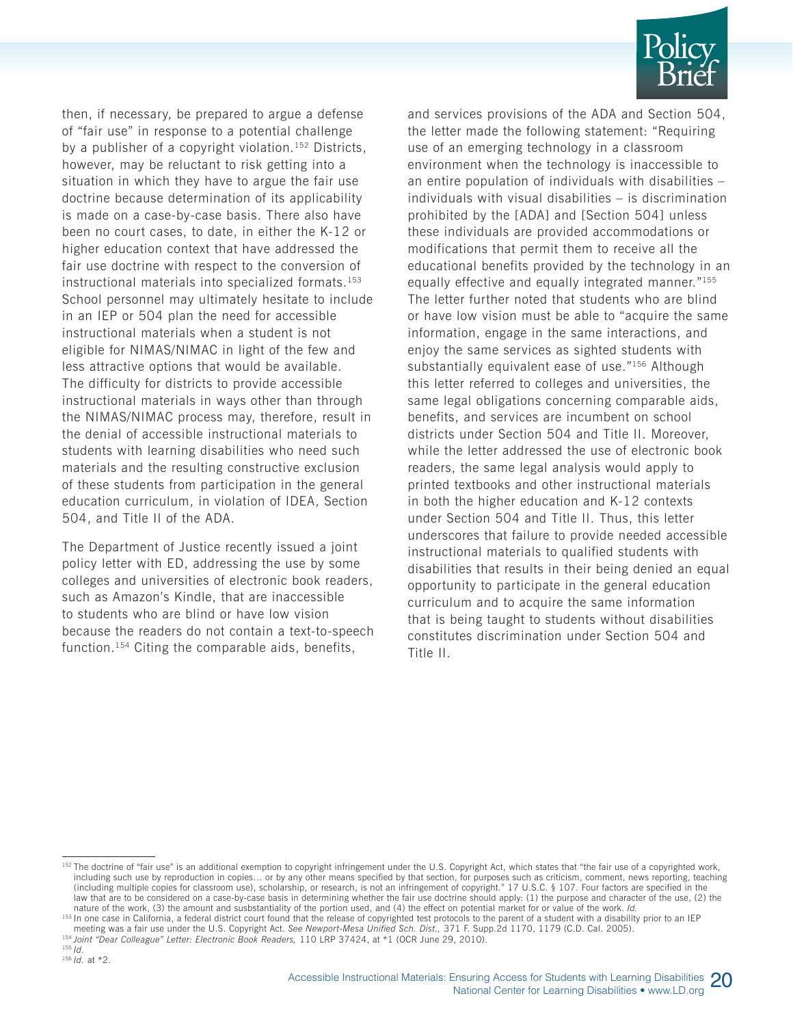

then, if necessary, be prepared to argue a defense of "fair use" in response to a potential challenge by a publisher of a copyright violation.<sup>152</sup> Districts, however, may be reluctant to risk getting into a situation in which they have to argue the fair use doctrine because determination of its applicability is made on a case-by-case basis. There also have been no court cases, to date, in either the K-12 or higher education context that have addressed the fair use doctrine with respect to the conversion of instructional materials into specialized formats.<sup>153</sup> School personnel may ultimately hesitate to include in an IEP or 504 plan the need for accessible instructional materials when a student is not eligible for NIMAS/NIMAC in light of the few and less attractive options that would be available. The difficulty for districts to provide accessible instructional materials in ways other than through the NIMAS/NIMAC process may, therefore, result in the denial of accessible instructional materials to students with learning disabilities who need such materials and the resulting constructive exclusion of these students from participation in the general education curriculum, in violation of IDEA, Section 504, and Title II of the ADA.

The Department of Justice recently issued a joint policy letter with ED, addressing the use by some colleges and universities of electronic book readers, such as Amazon's Kindle, that are inaccessible to students who are blind or have low vision because the readers do not contain a text-to-speech function.154 Citing the comparable aids, benefits,

and services provisions of the ADA and Section 504, the letter made the following statement: "Requiring use of an emerging technology in a classroom environment when the technology is inaccessible to an entire population of individuals with disabilities – individuals with visual disabilities – is discrimination prohibited by the [ADA] and [Section 504] unless these individuals are provided accommodations or modifications that permit them to receive all the educational benefits provided by the technology in an equally effective and equally integrated manner."155 The letter further noted that students who are blind or have low vision must be able to "acquire the same information, engage in the same interactions, and enjoy the same services as sighted students with substantially equivalent ease of use."<sup>156</sup> Although this letter referred to colleges and universities, the same legal obligations concerning comparable aids, benefits, and services are incumbent on school districts under Section 504 and Title II. Moreover, while the letter addressed the use of electronic book readers, the same legal analysis would apply to printed textbooks and other instructional materials in both the higher education and K-12 contexts under Section 504 and Title II. Thus, this letter underscores that failure to provide needed accessible instructional materials to qualified students with disabilities that results in their being denied an equal opportunity to participate in the general education curriculum and to acquire the same information that is being taught to students without disabilities constitutes discrimination under Section 504 and Title II.

meeting was a fair use under the U.S. Copyright Act. See Newport-Mesa Unified Sch. Dist., 371 F. Supp.2d 1170, 1179 (C.D. Cal. 2005).<br><sup>154</sup> Joint "Dear Colleague" Letter: Electronic Book Readers, 110 LRP 37424, at \*1 (OCR

<sup>155</sup> *Id.*



<sup>152</sup> The doctrine of "fair use" is an additional exemption to copyright infringement under the U.S. Copyright Act, which states that "the fair use of a copyrighted work, including such use by reproduction in copies… or by any other means specified by that section, for purposes such as criticism, comment, news reporting, teaching (including multiple copies for classroom use), scholarship, or research, is not an infringement of copyright." 17 U.S.C. § 107. Four factors are specified in the law that are to be considered on a case-by-case basis in determining whether the fair use doctrine should apply: (1) the purpose and character of the use, (2) the nature of the work, (3) the amount and susbstantiality of the portion used, and (4) the effect on potential market for or value of the work. Id.<br><sup>153</sup> In one case in California, a federal district court found that the rele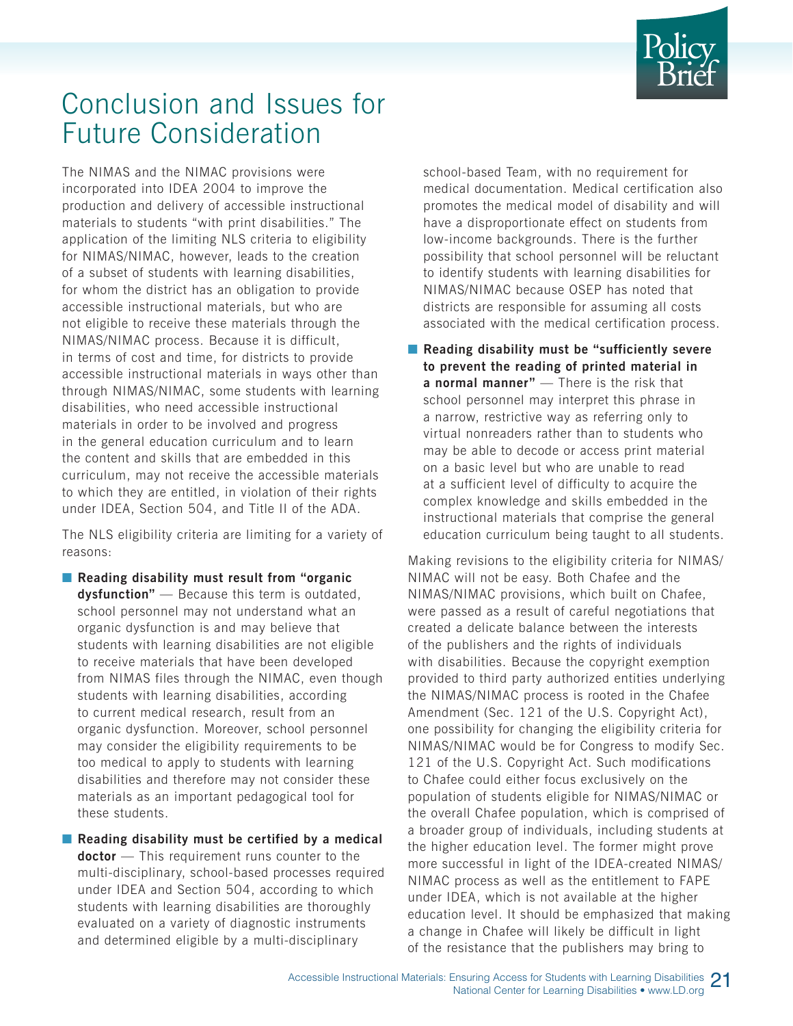

## Conclusion and Issues for Future Consideration

The NIMAS and the NIMAC provisions were incorporated into IDEA 2004 to improve the production and delivery of accessible instructional materials to students "with print disabilities." The application of the limiting NLS criteria to eligibility for NIMAS/NIMAC, however, leads to the creation of a subset of students with learning disabilities, for whom the district has an obligation to provide accessible instructional materials, but who are not eligible to receive these materials through the NIMAS/NIMAC process. Because it is difficult, in terms of cost and time, for districts to provide accessible instructional materials in ways other than through NIMAS/NIMAC, some students with learning disabilities, who need accessible instructional materials in order to be involved and progress in the general education curriculum and to learn the content and skills that are embedded in this curriculum, may not receive the accessible materials to which they are entitled, in violation of their rights under IDEA, Section 504, and Title II of the ADA.

The NLS eligibility criteria are limiting for a variety of reasons:

- **Reading disability must result from "organic dysfunction"** — Because this term is outdated, school personnel may not understand what an organic dysfunction is and may believe that students with learning disabilities are not eligible to receive materials that have been developed from NIMAS files through the NIMAC, even though students with learning disabilities, according to current medical research, result from an organic dysfunction. Moreover, school personnel may consider the eligibility requirements to be too medical to apply to students with learning disabilities and therefore may not consider these materials as an important pedagogical tool for these students.
- **Reading disability must be certified by a medical doctor** — This requirement runs counter to the multi-disciplinary, school-based processes required under IDEA and Section 504, according to which students with learning disabilities are thoroughly evaluated on a variety of diagnostic instruments and determined eligible by a multi-disciplinary

school-based Team, with no requirement for medical documentation. Medical certification also promotes the medical model of disability and will have a disproportionate effect on students from low-income backgrounds. There is the further possibility that school personnel will be reluctant to identify students with learning disabilities for NIMAS/NIMAC because OSEP has noted that districts are responsible for assuming all costs associated with the medical certification process.

■ **Reading disability must be "sufficiently severe to prevent the reading of printed material in a normal manner"** — There is the risk that school personnel may interpret this phrase in a narrow, restrictive way as referring only to virtual nonreaders rather than to students who may be able to decode or access print material on a basic level but who are unable to read at a sufficient level of difficulty to acquire the complex knowledge and skills embedded in the instructional materials that comprise the general education curriculum being taught to all students.

Making revisions to the eligibility criteria for NIMAS/ NIMAC will not be easy. Both Chafee and the NIMAS/NIMAC provisions, which built on Chafee, were passed as a result of careful negotiations that created a delicate balance between the interests of the publishers and the rights of individuals with disabilities. Because the copyright exemption provided to third party authorized entities underlying the NIMAS/NIMAC process is rooted in the Chafee Amendment (Sec. 121 of the U.S. Copyright Act), one possibility for changing the eligibility criteria for NIMAS/NIMAC would be for Congress to modify Sec. 121 of the U.S. Copyright Act. Such modifications to Chafee could either focus exclusively on the population of students eligible for NIMAS/NIMAC or the overall Chafee population, which is comprised of a broader group of individuals, including students at the higher education level. The former might prove more successful in light of the IDEA-created NIMAS/ NIMAC process as well as the entitlement to FAPE under IDEA, which is not available at the higher education level. It should be emphasized that making a change in Chafee will likely be difficult in light of the resistance that the publishers may bring to